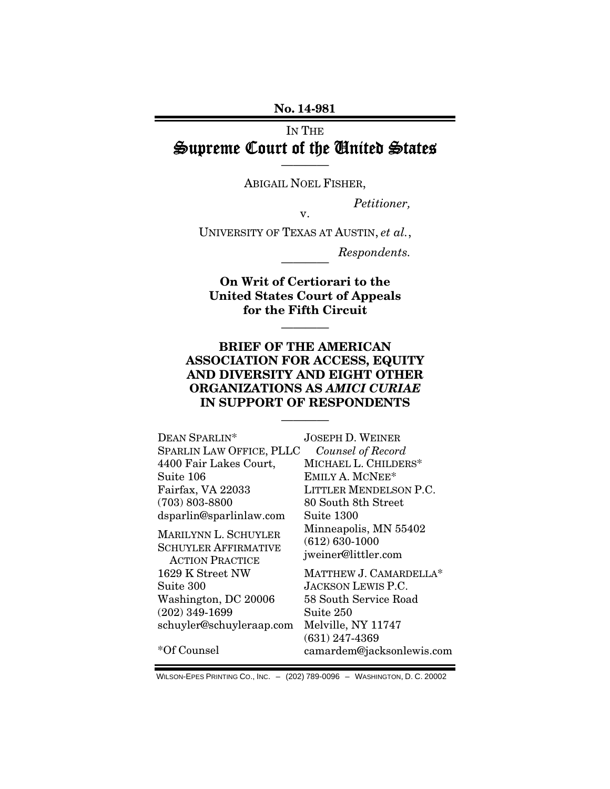#### No. 14-981

## IN THE Supreme Court of the United States

———— ABIGAIL NOEL FISHER,

*Petitioner,* 

v.

UNIVERSITY OF TEXAS AT AUSTIN, *et al.*,

 $Respondents.$ 

On Writ of Certiorari to the United States Court of Appeals for the Fifth Circuit

————

## BRIEF OF THE AMERICAN ASSOCIATION FOR ACCESS, EQUITY AND DIVERSITY AND EIGHT OTHER ORGANIZATIONS AS *AMICI CURIAE*  IN SUPPORT OF RESPONDENTS

————

| DEAN SPARLIN*                                                                 | <b>JOSEPH D. WEINER</b>                                            |
|-------------------------------------------------------------------------------|--------------------------------------------------------------------|
| SPARLIN LAW OFFICE, PLLC                                                      | Counsel of Record                                                  |
| 4400 Fair Lakes Court,                                                        | MICHAEL L. CHILDERS*                                               |
| Suite 106                                                                     | EMILY A. MCNEE*                                                    |
| Fairfax, VA 22033                                                             | LITTLER MENDELSON P.C.                                             |
| $(703) 803 - 8800$                                                            | 80 South 8th Street                                                |
| dsparlin@sparlinlaw.com                                                       | Suite 1300                                                         |
| MARILYNN L. SCHUYLER<br><b>SCHUYLER AFFIRMATIVE</b><br><b>ACTION PRACTICE</b> | Minneapolis, MN 55402<br>$(612) 630 - 1000$<br>jweiner@littler.com |
| 1629 K Street NW                                                              | MATTHEW J. CAMARDELLA*                                             |
| Suite 300                                                                     | <b>JACKSON LEWIS P.C.</b>                                          |
| Washington, DC 20006                                                          | 58 South Service Road                                              |
| $(202)$ 349-1699                                                              | Suite 250                                                          |
| schuyler@schuyleraap.com                                                      | Melville, NY 11747                                                 |
|                                                                               | $(631)$ 247-4369                                                   |
| *Of Counsel                                                                   | camardem@jacksonlewis.com                                          |

WILSON-EPES PRINTING CO., INC. – (202) 789-0096 – WASHINGTON, D. C. 20002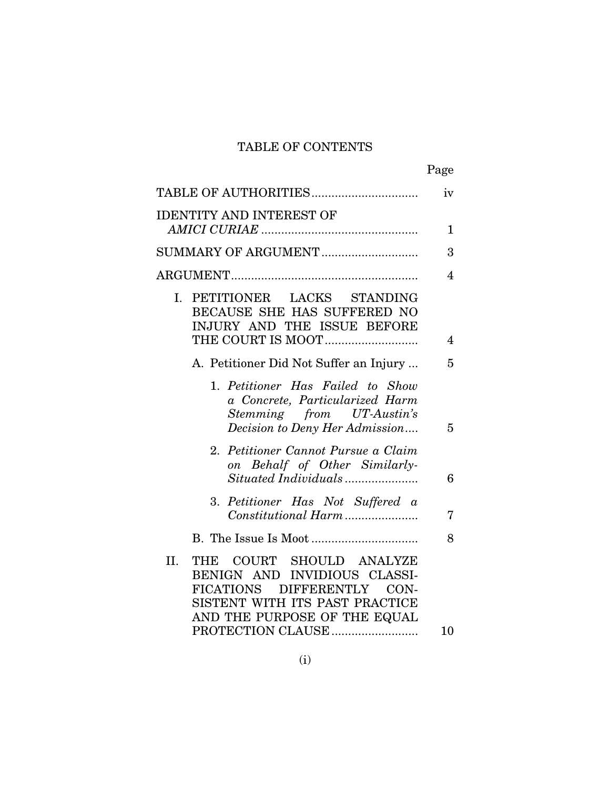## TABLE OF CONTENTS

|                                                                                                                                                                                                          | Page           |
|----------------------------------------------------------------------------------------------------------------------------------------------------------------------------------------------------------|----------------|
| TABLE OF AUTHORITIES                                                                                                                                                                                     | iv             |
| <b>IDENTITY AND INTEREST OF</b>                                                                                                                                                                          |                |
|                                                                                                                                                                                                          | 1              |
| SUMMARY OF ARGUMENT                                                                                                                                                                                      | 3              |
|                                                                                                                                                                                                          | $\overline{4}$ |
| I. PETITIONER LACKS STANDING<br>BECAUSE SHE HAS SUFFERED NO<br>INJURY AND THE ISSUE BEFORE                                                                                                               | 4              |
| A. Petitioner Did Not Suffer an Injury                                                                                                                                                                   | 5              |
| 1. Petitioner Has Failed to Show<br>a Concrete, Particularized Harm<br>Stemming from UT-Austin's<br>Decision to Deny Her Admission                                                                       | 5              |
| 2. Petitioner Cannot Pursue a Claim<br>on Behalf of Other Similarly-                                                                                                                                     | 6              |
| 3. Petitioner Has Not Suffered a<br>Constitutional Harm                                                                                                                                                  | 7              |
|                                                                                                                                                                                                          | 8              |
| THE COURT SHOULD ANALYZE<br>II.<br>BENIGN AND INVIDIOUS CLASSI-<br><b>DIFFERENTLY</b><br><b>FICATIONS</b><br>CON-<br>SISTENT WITH ITS PAST PRACTICE<br>AND THE PURPOSE OF THE EQUAL<br>PROTECTION CLAUSE | 10             |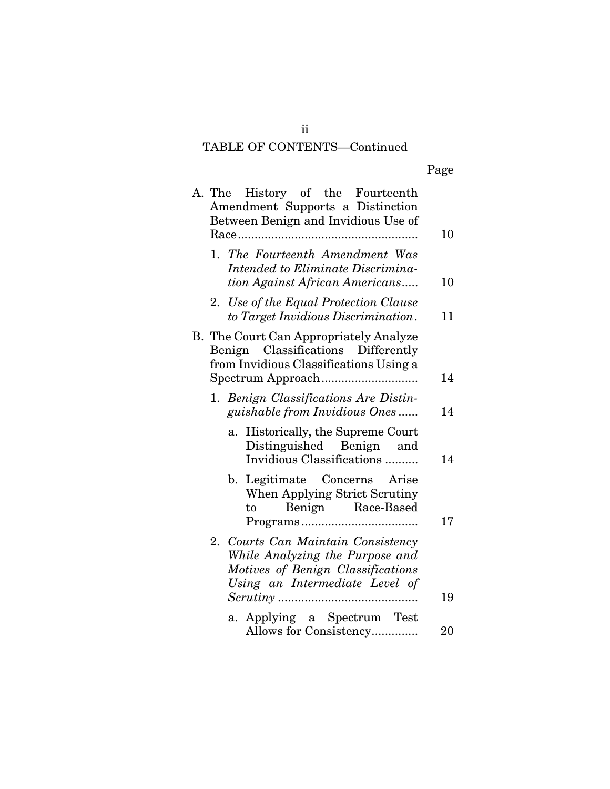# TABLE OF CONTENTS—Continued

|    | A. The History of the Fourteenth<br>Amendment Supports a Distinction<br>Between Benign and Invidious Use of                                  | 10       |
|----|----------------------------------------------------------------------------------------------------------------------------------------------|----------|
|    | 1. The Fourteenth Amendment Was<br>Intended to Eliminate Discrimina-<br>tion Against African Americans                                       | 10       |
|    | 2. Use of the Equal Protection Clause<br>to Target Invidious Discrimination.                                                                 | 11       |
| В. | The Court Can Appropriately Analyze<br>Benign Classifications Differently<br>from Invidious Classifications Using a                          | 14       |
|    | 1. Benign Classifications Are Distin-<br>guishable from Invidious Ones                                                                       | 14       |
|    | Historically, the Supreme Court<br>a.<br>Distinguished Benign and<br>Invidious Classifications                                               | 14       |
|    | b. Legitimate Concerns Arise<br>When Applying Strict Scrutiny<br>Benign Race-Based<br>to                                                     |          |
|    | 2. Courts Can Maintain Consistency<br>While Analyzing the Purpose and<br>Motives of Benign Classifications<br>Using an Intermediate Level of | 17<br>19 |
|    | a. Applying a Spectrum Test<br>Allows for Consistency                                                                                        | 20       |

ii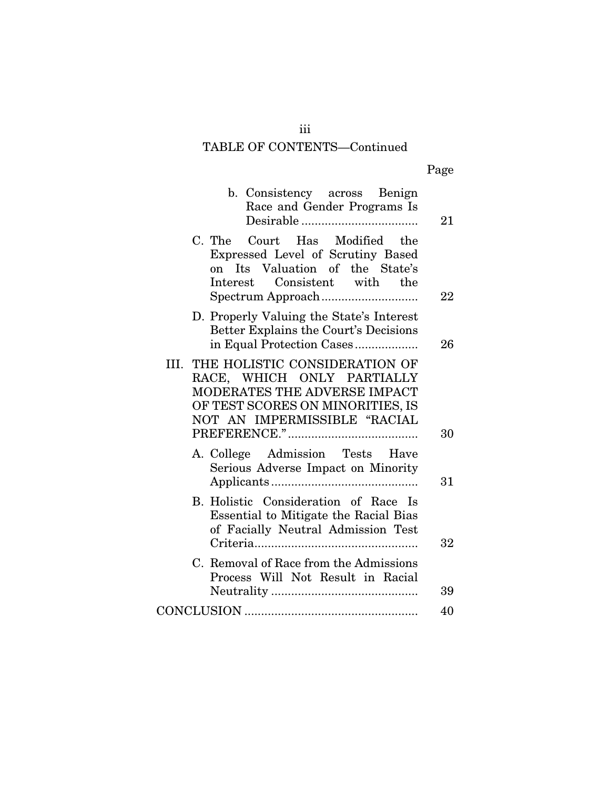# TABLE OF CONTENTS—Continued

|--|

| 21 | b. Consistency across Benign<br>Race and Gender Programs Is                                                                                                             |
|----|-------------------------------------------------------------------------------------------------------------------------------------------------------------------------|
| 22 | Court Has Modified the<br>C. The<br>Expressed Level of Scrutiny Based<br>on Its Valuation of the State's<br>Interest Consistent with the                                |
| 26 | D. Properly Valuing the State's Interest<br>Better Explains the Court's Decisions<br>in Equal Protection Cases                                                          |
| 30 | THE HOLISTIC CONSIDERATION OF<br>III.<br>RACE, WHICH ONLY PARTIALLY<br>MODERATES THE ADVERSE IMPACT<br>OF TEST SCORES ON MINORITIES, IS<br>NOT AN IMPERMISSIBLE "RACIAL |
| 31 | A. College Admission Tests Have<br>Serious Adverse Impact on Minority                                                                                                   |
| 32 | B. Holistic Consideration of Race Is<br>Essential to Mitigate the Racial Bias<br>of Facially Neutral Admission Test                                                     |
| 39 | C. Removal of Race from the Admissions<br>Process Will Not Result in Racial                                                                                             |
| 40 |                                                                                                                                                                         |
|    |                                                                                                                                                                         |

iii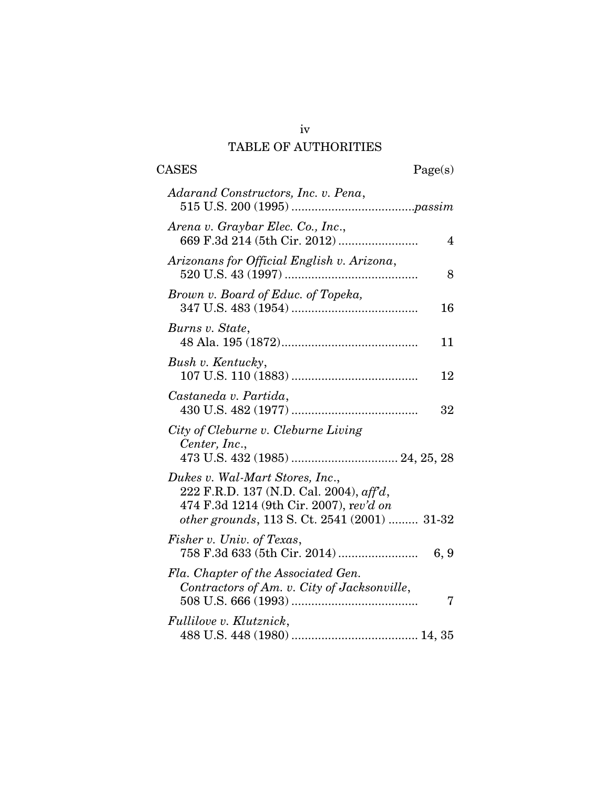## TABLE OF AUTHORITIES

| <b>CASES</b>                                                                                                                    | Page(s)        |
|---------------------------------------------------------------------------------------------------------------------------------|----------------|
| Adarand Constructors, Inc. v. Pena,                                                                                             |                |
| Arena v. Graybar Elec. Co., Inc.,                                                                                               | $\overline{4}$ |
| Arizonans for Official English v. Arizona,                                                                                      | 8              |
| Brown v. Board of Educ. of Topeka,                                                                                              | 16             |
| Burns v. State,                                                                                                                 | 11             |
| Bush v. Kentucky,                                                                                                               | 12             |
| Castaneda v. Partida,                                                                                                           | 32             |
| City of Cleburne v. Cleburne Living<br>Center, Inc.,                                                                            |                |
| Dukes v. Wal-Mart Stores, Inc.,<br>222 F.R.D. 137 (N.D. Cal. 2004), $\alpha f f d$ ,<br>474 F.3d 1214 (9th Cir. 2007), rev'd on |                |
| other grounds, 113 S. Ct. 2541 (2001)  31-32<br>Fisher v. Univ. of Texas,                                                       | 6, 9           |
| Fla. Chapter of the Associated Gen.<br>Contractors of Am. v. City of Jacksonville,                                              | 7              |
| Fullilove v. Klutznick,                                                                                                         |                |

iv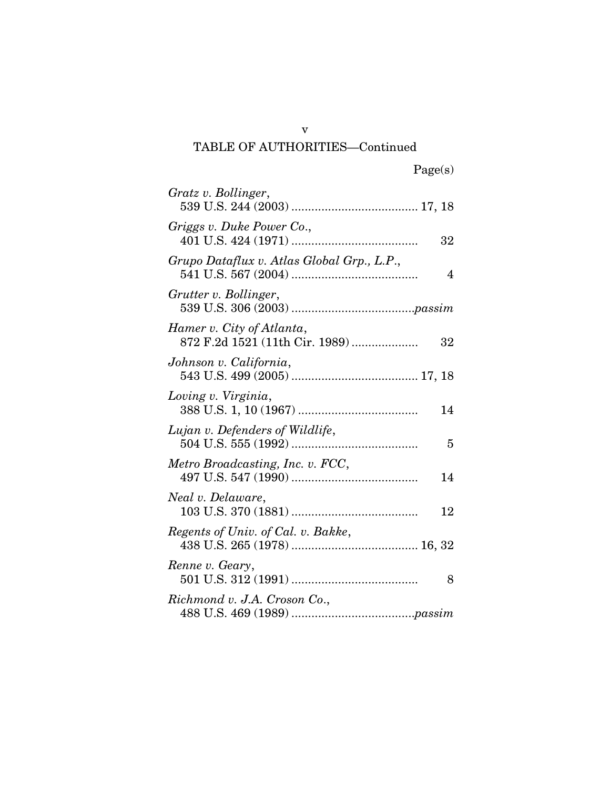# TABLE OF AUTHORITIES—Continued

| Gratz v. Bollinger,                                               |
|-------------------------------------------------------------------|
| Griggs v. Duke Power Co.,<br>32                                   |
| Grupo Dataflux v. Atlas Global Grp., L.P.,<br>4                   |
| Grutter v. Bollinger,                                             |
| Hamer v. City of Atlanta,<br>872 F.2d 1521 (11th Cir. 1989)<br>32 |
| Johnson v. California,                                            |
| Loving v. Virginia,<br>14                                         |
| Lujan v. Defenders of Wildlife,<br>5                              |
| Metro Broadcasting, Inc. v. FCC,<br>14                            |
| Neal v. Delaware,<br>12                                           |
| Regents of Univ. of Cal. v. Bakke,                                |
| Renne v. Geary,<br>8                                              |
| Richmond v. J.A. Croson Co.,                                      |

v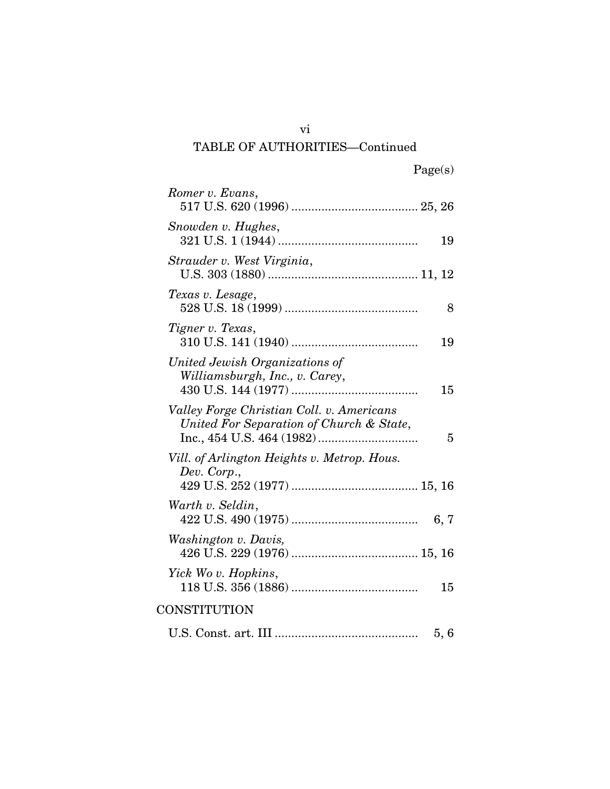# TABLE OF AUTHORITIES—Continued

| Romer v. Evans,                                                                       |      |
|---------------------------------------------------------------------------------------|------|
| Snowden v. Hughes,                                                                    | 19   |
| Strauder v. West Virginia,                                                            |      |
| Texas v. Lesage,                                                                      | 8    |
| Tigner v. Texas,                                                                      | 19   |
| United Jewish Organizations of<br>Williamsburgh, Inc., v. Carey,                      | 15   |
| Valley Forge Christian Coll. v. Americans<br>United For Separation of Church & State, | 5    |
| Vill. of Arlington Heights v. Metrop. Hous.<br>Dev. Corp.,                            |      |
| Warth v. Seldin,                                                                      | 6, 7 |
| Washington v. Davis,                                                                  |      |
| Yick Wo v. Hopkins,                                                                   | 15   |
| CONSTITUTION                                                                          |      |
|                                                                                       | 5, 6 |

vi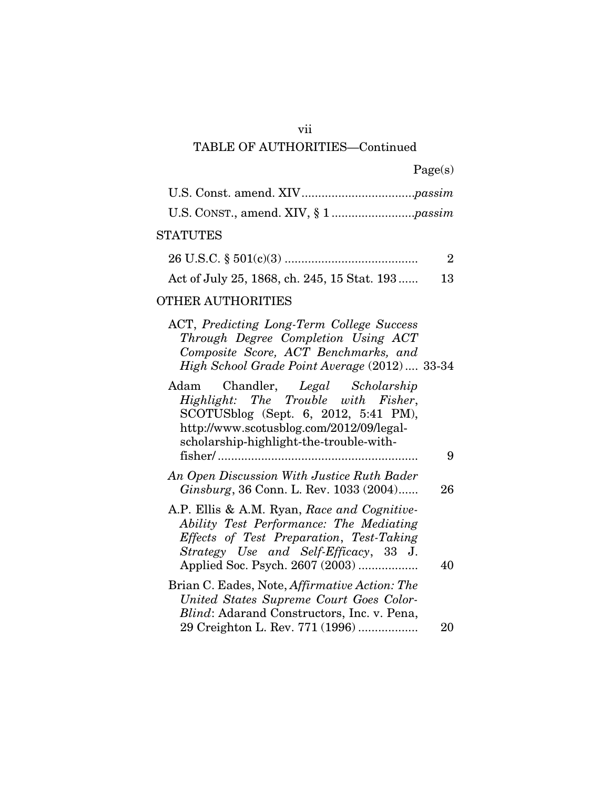## vii

## TABLE OF AUTHORITIES—Continued

|  | Page(s) |
|--|---------|
|  |         |

## **STATUTES**

| Act of July 25, 1868, ch. 245, 15 Stat. 193 | 13 |
|---------------------------------------------|----|

### OTHER AUTHORITIES

| ACT, Predicting Long-Term College Success    |  |
|----------------------------------------------|--|
| Through Degree Completion Using ACT          |  |
| Composite Score, ACT Benchmarks, and         |  |
| High School Grade Point Average (2012) 33-34 |  |

| Adam Chandler, Legal Scholarship                     |    |
|------------------------------------------------------|----|
| Highlight: The Trouble with Fisher,                  |    |
| SCOTUSblog (Sept. 6, 2012, 5:41 PM),                 |    |
| http://www.scotusblog.com/2012/09/legal-             |    |
| scholarship-highlight-the-trouble-with-              |    |
|                                                      | 9  |
| An Open Discussion With Justice Ruth Bader           |    |
| Ginsburg, 36 Conn. L. Rev. 1033 (2004)               | 26 |
|                                                      |    |
| A.P. Ellis & A.M. Ryan, Race and Cognitive-          |    |
| Ability Test Performance: The Mediating              |    |
| Effects of Test Preparation, Test-Taking             |    |
| Strategy Use and Self-Efficacy, 33 J.                |    |
| Applied Soc. Psych. 2607 (2003)                      | 40 |
| Brian C. Eades, Note, <i>Affirmative Action: The</i> |    |
| United States Supreme Court Goes Color-              |    |
| <i>Blind:</i> Adarand Constructors, Inc. v. Pena,    |    |
| 29 Creighton L. Rev. 771 (1996)                      | 20 |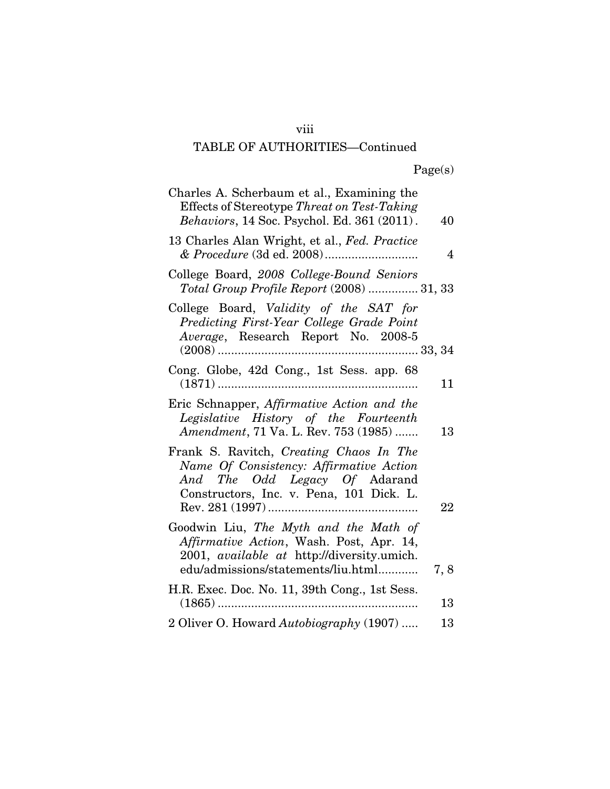## viii

# TABLE OF AUTHORITIES—Continued

| Charles A. Scherbaum et al., Examining the<br>Effects of Stereotype Threat on Test-Taking<br>Behaviors, 14 Soc. Psychol. Ed. 361 (2011).                                     | 40  |
|------------------------------------------------------------------------------------------------------------------------------------------------------------------------------|-----|
| 13 Charles Alan Wright, et al., Fed. Practice                                                                                                                                | 4   |
| College Board, 2008 College-Bound Seniors<br>Total Group Profile Report (2008)  31, 33                                                                                       |     |
| College Board, Validity of the SAT for<br>Predicting First-Year College Grade Point<br>Average, Research Report No. 2008-5                                                   |     |
| Cong. Globe, 42d Cong., 1st Sess. app. 68                                                                                                                                    | 11  |
| Eric Schnapper, Affirmative Action and the<br>Legislative History of the Fourteenth<br>Amendment, 71 Va. L. Rev. 753 (1985)                                                  | 13  |
| Frank S. Ravitch, Creating Chaos In The<br>Name Of Consistency: Affirmative Action<br>And The Odd Legacy Of Adarand<br>Constructors, Inc. v. Pena, 101 Dick. L.              | 22  |
| Goodwin Liu, The Myth and the Math of<br>Affirmative Action, Wash. Post, Apr. 14,<br>2001, <i>available at http://diversity.umich.</i><br>edu/admissions/statements/liu.html | 7,8 |
| H.R. Exec. Doc. No. 11, 39th Cong., 1st Sess.                                                                                                                                | 13  |
| 2 Oliver O. Howard Autobiography (1907)                                                                                                                                      | 13  |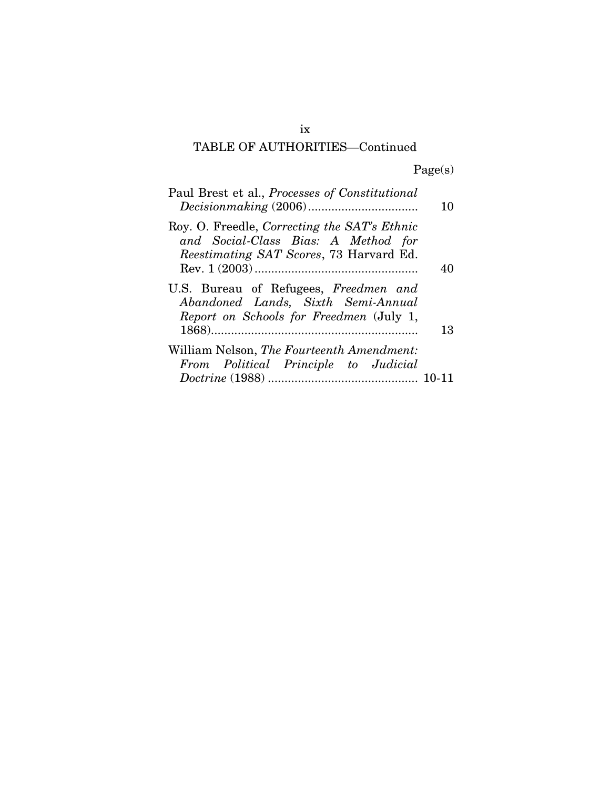# TABLE OF AUTHORITIES—Continued

Page(s)

| Paul Brest et al., Processes of Constitutional                                                                                        | 10 |
|---------------------------------------------------------------------------------------------------------------------------------------|----|
| Roy. O. Freedle, Correcting the SAT's Ethnic<br>and Social-Class Bias: A Method for<br><i>Reestimating SAT Scores, 73 Harvard Ed.</i> | 40 |
| U.S. Bureau of Refugees, Freedmen and<br>Abandoned Lands, Sixth Semi-Annual<br>Report on Schools for Freedmen (July 1,                | 13 |
| William Nelson, The Fourteenth Amendment:<br>From Political Principle to Judicial                                                     |    |
|                                                                                                                                       |    |

ix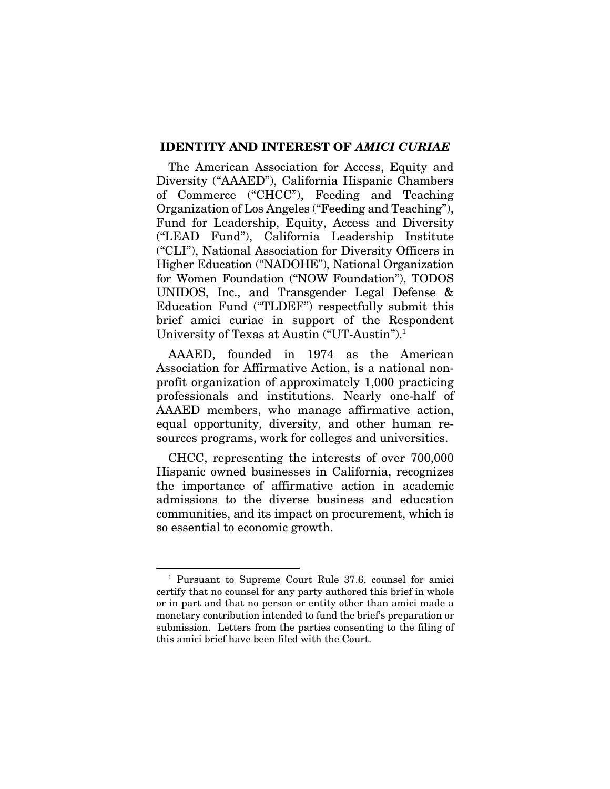#### IDENTITY AND INTEREST OF *AMICI CURIAE*

The American Association for Access, Equity and Diversity ("AAAED"), California Hispanic Chambers of Commerce ("CHCC"), Feeding and Teaching Organization of Los Angeles ("Feeding and Teaching"), Fund for Leadership, Equity, Access and Diversity ("LEAD Fund"), California Leadership Institute ("CLI"), National Association for Diversity Officers in Higher Education ("NADOHE"), National Organization for Women Foundation ("NOW Foundation"), TODOS UNIDOS, Inc., and Transgender Legal Defense & Education Fund ("TLDEF") respectfully submit this brief amici curiae in support of the Respondent University of Texas at Austin ("UT-Austin").1

AAAED, founded in 1974 as the American Association for Affirmative Action, is a national nonprofit organization of approximately 1,000 practicing professionals and institutions. Nearly one-half of AAAED members, who manage affirmative action, equal opportunity, diversity, and other human resources programs, work for colleges and universities.

CHCC, representing the interests of over 700,000 Hispanic owned businesses in California, recognizes the importance of affirmative action in academic admissions to the diverse business and education communities, and its impact on procurement, which is so essential to economic growth.

<sup>1</sup> Pursuant to Supreme Court Rule 37.6, counsel for amici certify that no counsel for any party authored this brief in whole or in part and that no person or entity other than amici made a monetary contribution intended to fund the brief's preparation or submission. Letters from the parties consenting to the filing of this amici brief have been filed with the Court.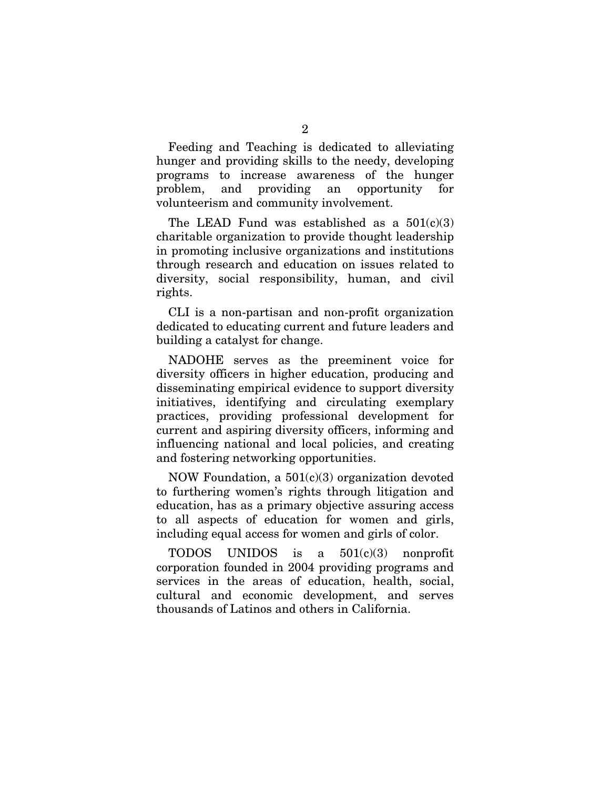Feeding and Teaching is dedicated to alleviating hunger and providing skills to the needy, developing programs to increase awareness of the hunger problem, and providing an opportunity for volunteerism and community involvement.

The LEAD Fund was established as a  $501(c)(3)$ charitable organization to provide thought leadership in promoting inclusive organizations and institutions through research and education on issues related to diversity, social responsibility, human, and civil rights.

CLI is a non-partisan and non-profit organization dedicated to educating current and future leaders and building a catalyst for change.

NADOHE serves as the preeminent voice for diversity officers in higher education, producing and disseminating empirical evidence to support diversity initiatives, identifying and circulating exemplary practices, providing professional development for current and aspiring diversity officers, informing and influencing national and local policies, and creating and fostering networking opportunities.

NOW Foundation, a  $501(c)(3)$  organization devoted to furthering women's rights through litigation and education, has as a primary objective assuring access to all aspects of education for women and girls, including equal access for women and girls of color.

TODOS UNIDOS is a  $501(c)(3)$  nonprofit corporation founded in 2004 providing programs and services in the areas of education, health, social, cultural and economic development, and serves thousands of Latinos and others in California.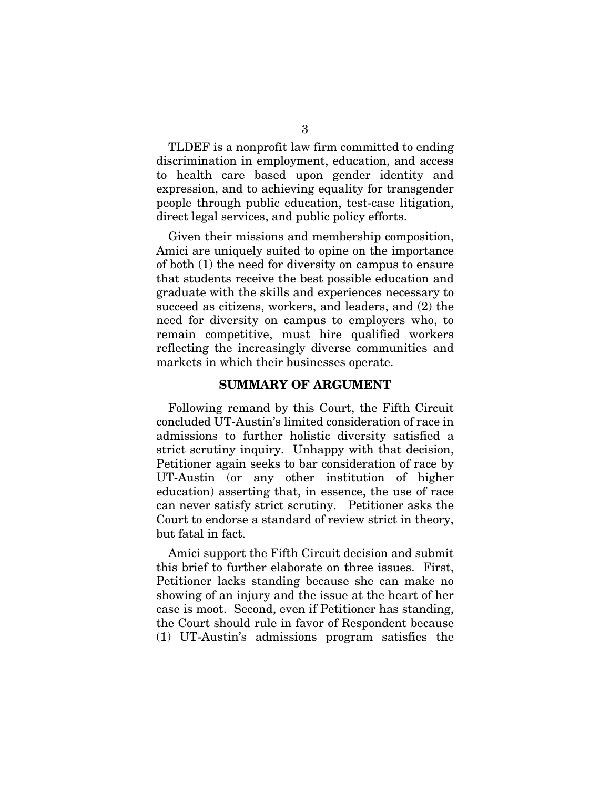TLDEF is a nonprofit law firm committed to ending discrimination in employment, education, and access to health care based upon gender identity and expression, and to achieving equality for transgender people through public education, test-case litigation, direct legal services, and public policy efforts.

Given their missions and membership composition, Amici are uniquely suited to opine on the importance of both (1) the need for diversity on campus to ensure that students receive the best possible education and graduate with the skills and experiences necessary to succeed as citizens, workers, and leaders, and (2) the need for diversity on campus to employers who, to remain competitive, must hire qualified workers reflecting the increasingly diverse communities and markets in which their businesses operate.

#### SUMMARY OF ARGUMENT

Following remand by this Court, the Fifth Circuit concluded UT-Austin's limited consideration of race in admissions to further holistic diversity satisfied a strict scrutiny inquiry. Unhappy with that decision, Petitioner again seeks to bar consideration of race by UT-Austin (or any other institution of higher education) asserting that, in essence, the use of race can never satisfy strict scrutiny. Petitioner asks the Court to endorse a standard of review strict in theory, but fatal in fact.

Amici support the Fifth Circuit decision and submit this brief to further elaborate on three issues. First, Petitioner lacks standing because she can make no showing of an injury and the issue at the heart of her case is moot. Second, even if Petitioner has standing, the Court should rule in favor of Respondent because (1) UT-Austin's admissions program satisfies the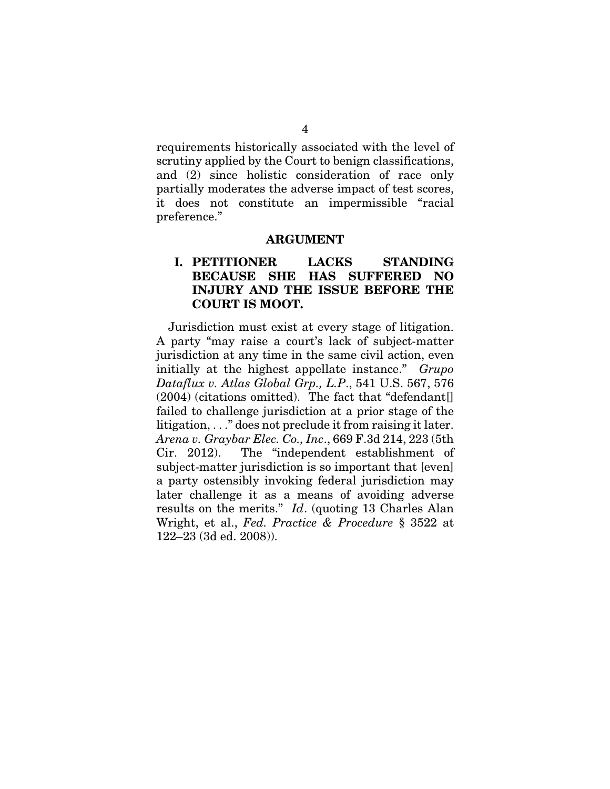requirements historically associated with the level of scrutiny applied by the Court to benign classifications, and (2) since holistic consideration of race only partially moderates the adverse impact of test scores, it does not constitute an impermissible "racial preference."

#### ARGUMENT

## I. PETITIONER LACKS STANDING BECAUSE SHE HAS SUFFERED NO INJURY AND THE ISSUE BEFORE THE COURT IS MOOT.

Jurisdiction must exist at every stage of litigation. A party "may raise a court's lack of subject-matter jurisdiction at any time in the same civil action, even initially at the highest appellate instance." *Grupo Dataflux v. Atlas Global Grp., L.P*., 541 U.S. 567, 576  $(2004)$  (citations omitted). The fact that "defendant. failed to challenge jurisdiction at a prior stage of the litigation, . . ." does not preclude it from raising it later. *Arena v. Graybar Elec. Co., Inc*., 669 F.3d 214, 223 (5th Cir. 2012). The "independent establishment of subject-matter jurisdiction is so important that [even] a party ostensibly invoking federal jurisdiction may later challenge it as a means of avoiding adverse results on the merits." *Id*. (quoting 13 Charles Alan Wright, et al., *Fed. Practice & Procedure* § 3522 at 122–23 (3d ed. 2008)).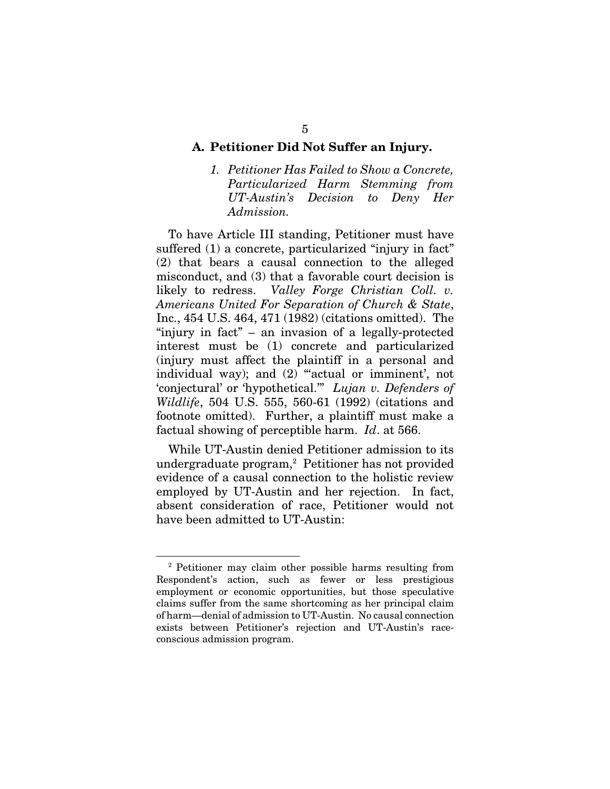#### A. Petitioner Did Not Suffer an Injury.

*1. Petitioner Has Failed to Show a Concrete, Particularized Harm Stemming from UT-Austin's Decision to Deny Her Admission.* 

To have Article III standing, Petitioner must have suffered (1) a concrete, particularized "injury in fact" (2) that bears a causal connection to the alleged misconduct, and (3) that a favorable court decision is likely to redress. *Valley Forge Christian Coll. v. Americans United For Separation of Church & State*, Inc., 454 U.S. 464, 471 (1982) (citations omitted). The "injury in fact" – an invasion of a legally-protected interest must be (1) concrete and particularized (injury must affect the plaintiff in a personal and individual way); and (2) "actual or imminent', not 'conjectural' or 'hypothetical.'" *Lujan v. Defenders of Wildlife*, 504 U.S. 555, 560-61 (1992) (citations and footnote omitted). Further, a plaintiff must make a factual showing of perceptible harm. *Id*. at 566.

While UT-Austin denied Petitioner admission to its undergraduate program,<sup>2</sup> Petitioner has not provided evidence of a causal connection to the holistic review employed by UT-Austin and her rejection. In fact, absent consideration of race, Petitioner would not have been admitted to UT-Austin:

<sup>2</sup> Petitioner may claim other possible harms resulting from Respondent's action, such as fewer or less prestigious employment or economic opportunities, but those speculative claims suffer from the same shortcoming as her principal claim of harm—denial of admission to UT-Austin. No causal connection exists between Petitioner's rejection and UT-Austin's raceconscious admission program.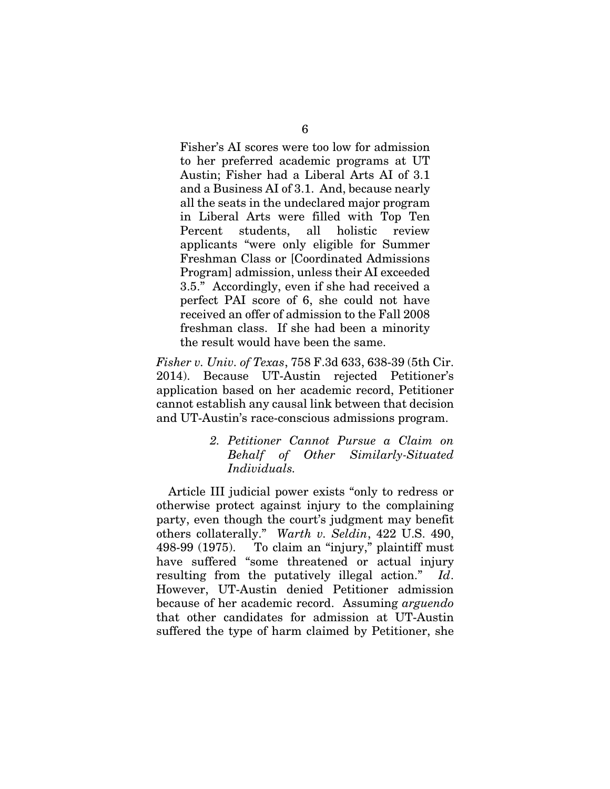Fisher's AI scores were too low for admission to her preferred academic programs at UT Austin; Fisher had a Liberal Arts AI of 3.1 and a Business AI of 3.1. And, because nearly all the seats in the undeclared major program in Liberal Arts were filled with Top Ten Percent students, all holistic review applicants "were only eligible for Summer Freshman Class or [Coordinated Admissions Program] admission, unless their AI exceeded 3.5." Accordingly, even if she had received a perfect PAI score of 6, she could not have received an offer of admission to the Fall 2008 freshman class. If she had been a minority the result would have been the same.

*Fisher v. Univ. of Texas*, 758 F.3d 633, 638-39 (5th Cir. 2014). Because UT-Austin rejected Petitioner's application based on her academic record, Petitioner cannot establish any causal link between that decision and UT-Austin's race-conscious admissions program.

### *2. Petitioner Cannot Pursue a Claim on Behalf of Other Similarly-Situated Individuals.*

Article III judicial power exists "only to redress or otherwise protect against injury to the complaining party, even though the court's judgment may benefit others collaterally." *Warth v. Seldin*, 422 U.S. 490, 498-99 (1975). To claim an "injury," plaintiff must have suffered "some threatened or actual injury resulting from the putatively illegal action." *Id*. However, UT-Austin denied Petitioner admission because of her academic record. Assuming *arguendo* that other candidates for admission at UT-Austin suffered the type of harm claimed by Petitioner, she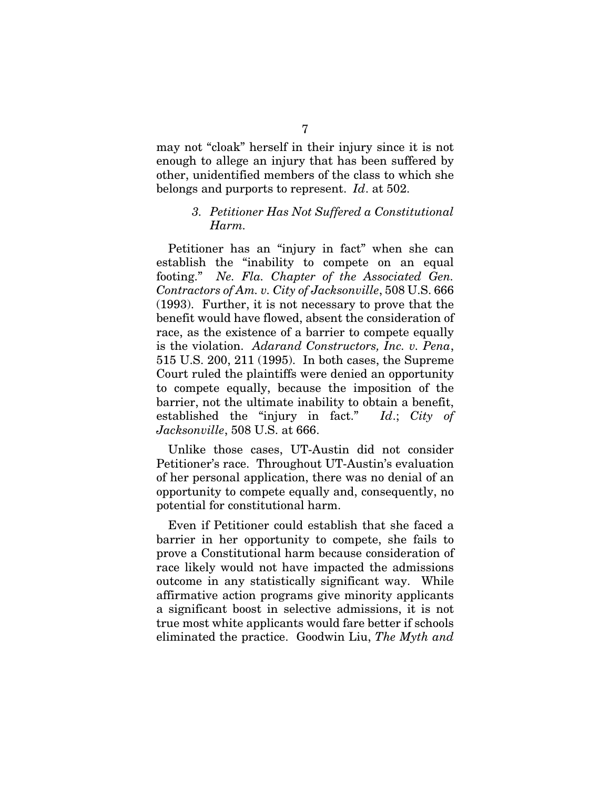may not "cloak" herself in their injury since it is not enough to allege an injury that has been suffered by other, unidentified members of the class to which she belongs and purports to represent. *Id*. at 502.

### *3. Petitioner Has Not Suffered a Constitutional Harm.*

Petitioner has an "injury in fact" when she can establish the "inability to compete on an equal footing." *Ne. Fla. Chapter of the Associated Gen. Contractors of Am. v. City of Jacksonville*, 508 U.S. 666 (1993). Further, it is not necessary to prove that the benefit would have flowed, absent the consideration of race, as the existence of a barrier to compete equally is the violation. *Adarand Constructors, Inc. v. Pena*, 515 U.S. 200, 211 (1995). In both cases, the Supreme Court ruled the plaintiffs were denied an opportunity to compete equally, because the imposition of the barrier, not the ultimate inability to obtain a benefit, established the "injury in fact." *Id*.; *City of Jacksonville*, 508 U.S. at 666.

Unlike those cases, UT-Austin did not consider Petitioner's race. Throughout UT-Austin's evaluation of her personal application, there was no denial of an opportunity to compete equally and, consequently, no potential for constitutional harm.

Even if Petitioner could establish that she faced a barrier in her opportunity to compete, she fails to prove a Constitutional harm because consideration of race likely would not have impacted the admissions outcome in any statistically significant way. While affirmative action programs give minority applicants a significant boost in selective admissions, it is not true most white applicants would fare better if schools eliminated the practice. Goodwin Liu, *The Myth and*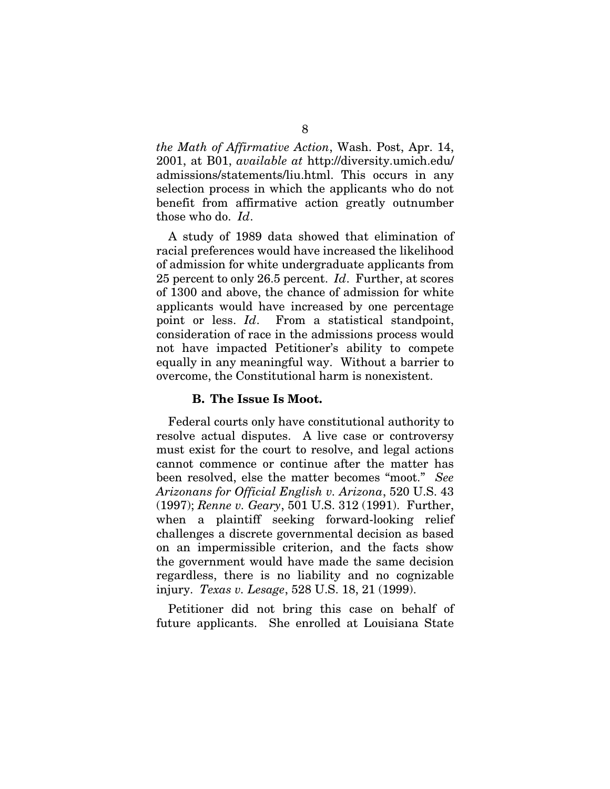*the Math of Affirmative Action*, Wash. Post, Apr. 14, 2001, at B01, *available at* http://diversity.umich.edu/ admissions/statements/liu.html. This occurs in any selection process in which the applicants who do not benefit from affirmative action greatly outnumber those who do. *Id*.

A study of 1989 data showed that elimination of racial preferences would have increased the likelihood of admission for white undergraduate applicants from 25 percent to only 26.5 percent. *Id*. Further, at scores of 1300 and above, the chance of admission for white applicants would have increased by one percentage point or less. *Id*. From a statistical standpoint, consideration of race in the admissions process would not have impacted Petitioner's ability to compete equally in any meaningful way. Without a barrier to overcome, the Constitutional harm is nonexistent.

#### B. The Issue Is Moot.

Federal courts only have constitutional authority to resolve actual disputes. A live case or controversy must exist for the court to resolve, and legal actions cannot commence or continue after the matter has been resolved, else the matter becomes "moot." *See Arizonans for Official English v. Arizona*, 520 U.S. 43 (1997); *Renne v. Geary*, 501 U.S. 312 (1991). Further, when a plaintiff seeking forward-looking relief challenges a discrete governmental decision as based on an impermissible criterion, and the facts show the government would have made the same decision regardless, there is no liability and no cognizable injury. *Texas v. Lesage*, 528 U.S. 18, 21 (1999).

Petitioner did not bring this case on behalf of future applicants. She enrolled at Louisiana State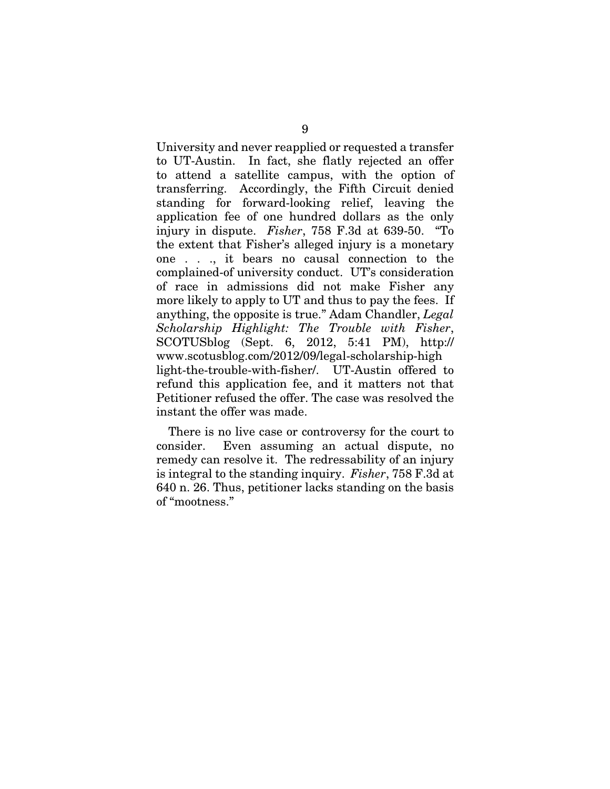University and never reapplied or requested a transfer to UT-Austin. In fact, she flatly rejected an offer to attend a satellite campus, with the option of transferring. Accordingly, the Fifth Circuit denied standing for forward-looking relief, leaving the application fee of one hundred dollars as the only injury in dispute. *Fisher*, 758 F.3d at 639-50. "To the extent that Fisher's alleged injury is a monetary one . . ., it bears no causal connection to the complained-of university conduct. UT's consideration of race in admissions did not make Fisher any more likely to apply to UT and thus to pay the fees. If anything, the opposite is true." Adam Chandler, *Legal Scholarship Highlight: The Trouble with Fisher*, SCOTUSblog (Sept. 6, 2012, 5:41 PM), http:// www.scotusblog.com/2012/09/legal-scholarship-high light-the-trouble-with-fisher/. UT-Austin offered to refund this application fee, and it matters not that Petitioner refused the offer. The case was resolved the instant the offer was made.

There is no live case or controversy for the court to consider. Even assuming an actual dispute, no remedy can resolve it. The redressability of an injury is integral to the standing inquiry. *Fisher*, 758 F.3d at 640 n. 26. Thus, petitioner lacks standing on the basis of "mootness."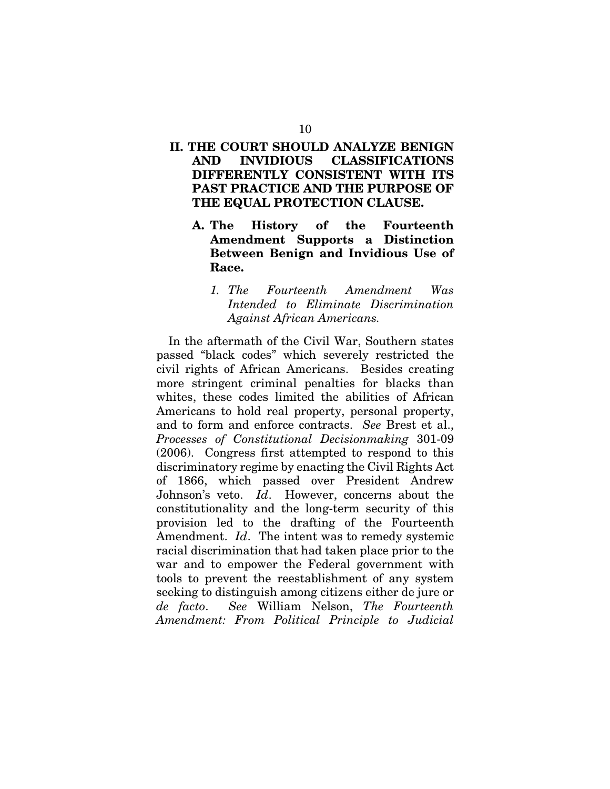## II. THE COURT SHOULD ANALYZE BENIGN AND INVIDIOUS CLASSIFICATIONS DIFFERENTLY CONSISTENT WITH ITS PAST PRACTICE AND THE PURPOSE OF THE EQUAL PROTECTION CLAUSE.

- A. The History of the Fourteenth Amendment Supports a Distinction Between Benign and Invidious Use of Race.
	- *1. The Fourteenth Amendment Was Intended to Eliminate Discrimination Against African Americans.*

In the aftermath of the Civil War, Southern states passed "black codes" which severely restricted the civil rights of African Americans. Besides creating more stringent criminal penalties for blacks than whites, these codes limited the abilities of African Americans to hold real property, personal property, and to form and enforce contracts. *See* Brest et al., *Processes of Constitutional Decisionmaking* 301-09 (2006). Congress first attempted to respond to this discriminatory regime by enacting the Civil Rights Act of 1866, which passed over President Andrew Johnson's veto. *Id*. However, concerns about the constitutionality and the long-term security of this provision led to the drafting of the Fourteenth Amendment. *Id*. The intent was to remedy systemic racial discrimination that had taken place prior to the war and to empower the Federal government with tools to prevent the reestablishment of any system seeking to distinguish among citizens either de jure or *de facto*. *See* William Nelson, *The Fourteenth Amendment: From Political Principle to Judicial*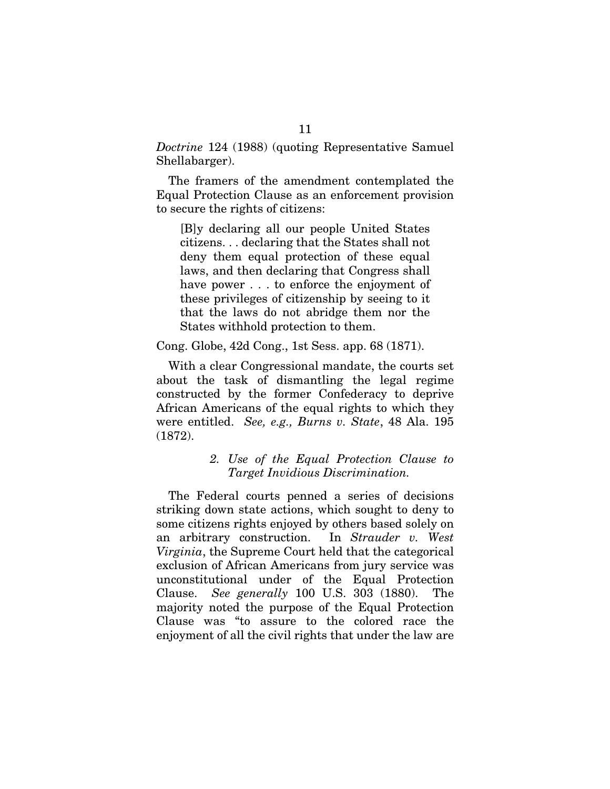*Doctrine* 124 (1988) (quoting Representative Samuel Shellabarger).

The framers of the amendment contemplated the Equal Protection Clause as an enforcement provision to secure the rights of citizens:

[B]y declaring all our people United States citizens. . . declaring that the States shall not deny them equal protection of these equal laws, and then declaring that Congress shall have power . . . to enforce the enjoyment of these privileges of citizenship by seeing to it that the laws do not abridge them nor the States withhold protection to them.

Cong. Globe, 42d Cong., 1st Sess. app. 68 (1871).

With a clear Congressional mandate, the courts set about the task of dismantling the legal regime constructed by the former Confederacy to deprive African Americans of the equal rights to which they were entitled. *See, e.g., Burns v. State*, 48 Ala. 195 (1872).

### *2. Use of the Equal Protection Clause to Target Invidious Discrimination.*

The Federal courts penned a series of decisions striking down state actions, which sought to deny to some citizens rights enjoyed by others based solely on an arbitrary construction. In *Strauder v. West Virginia*, the Supreme Court held that the categorical exclusion of African Americans from jury service was unconstitutional under of the Equal Protection Clause. *See generally* 100 U.S. 303 (1880). The majority noted the purpose of the Equal Protection Clause was "to assure to the colored race the enjoyment of all the civil rights that under the law are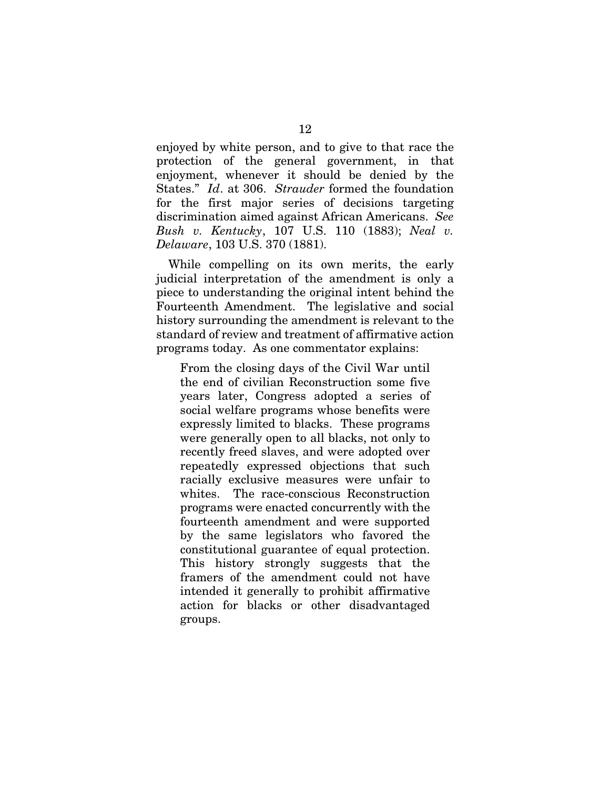enjoyed by white person, and to give to that race the protection of the general government, in that enjoyment, whenever it should be denied by the States." *Id*. at 306. *Strauder* formed the foundation for the first major series of decisions targeting discrimination aimed against African Americans. *See Bush v. Kentucky*, 107 U.S. 110 (1883); *Neal v. Delaware*, 103 U.S. 370 (1881).

While compelling on its own merits, the early judicial interpretation of the amendment is only a piece to understanding the original intent behind the Fourteenth Amendment. The legislative and social history surrounding the amendment is relevant to the standard of review and treatment of affirmative action programs today. As one commentator explains:

From the closing days of the Civil War until the end of civilian Reconstruction some five years later, Congress adopted a series of social welfare programs whose benefits were expressly limited to blacks. These programs were generally open to all blacks, not only to recently freed slaves, and were adopted over repeatedly expressed objections that such racially exclusive measures were unfair to whites. The race-conscious Reconstruction programs were enacted concurrently with the fourteenth amendment and were supported by the same legislators who favored the constitutional guarantee of equal protection. This history strongly suggests that the framers of the amendment could not have intended it generally to prohibit affirmative action for blacks or other disadvantaged groups.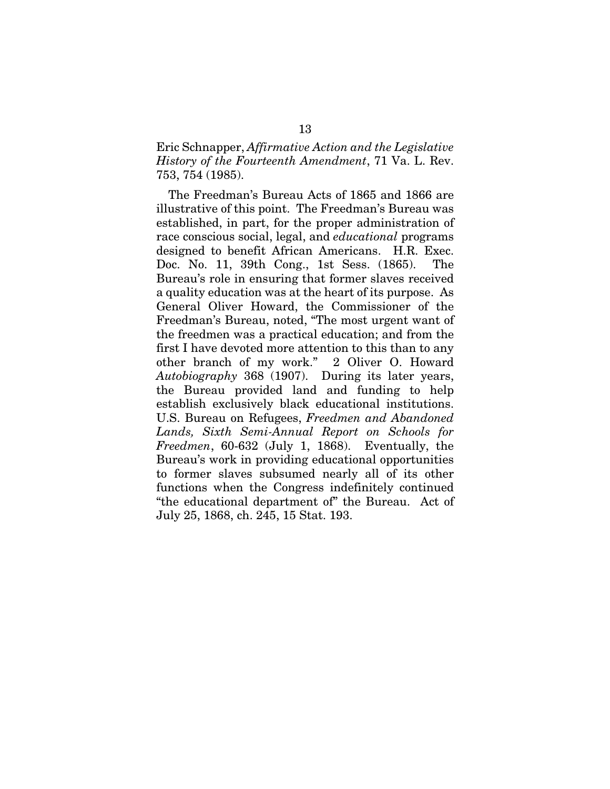## Eric Schnapper, *Affirmative Action and the Legislative History of the Fourteenth Amendment*, 71 Va. L. Rev. 753, 754 (1985).

The Freedman's Bureau Acts of 1865 and 1866 are illustrative of this point. The Freedman's Bureau was established, in part, for the proper administration of race conscious social, legal, and *educational* programs designed to benefit African Americans. H.R. Exec. Doc. No. 11, 39th Cong., 1st Sess. (1865). The Bureau's role in ensuring that former slaves received a quality education was at the heart of its purpose. As General Oliver Howard, the Commissioner of the Freedman's Bureau, noted, "The most urgent want of the freedmen was a practical education; and from the first I have devoted more attention to this than to any other branch of my work." 2 Oliver O. Howard *Autobiography* 368 (1907). During its later years, the Bureau provided land and funding to help establish exclusively black educational institutions. U.S. Bureau on Refugees, *Freedmen and Abandoned Lands, Sixth Semi-Annual Report on Schools for Freedmen*, 60-632 (July 1, 1868). Eventually, the Bureau's work in providing educational opportunities to former slaves subsumed nearly all of its other functions when the Congress indefinitely continued "the educational department of" the Bureau. Act of July 25, 1868, ch. 245, 15 Stat. 193.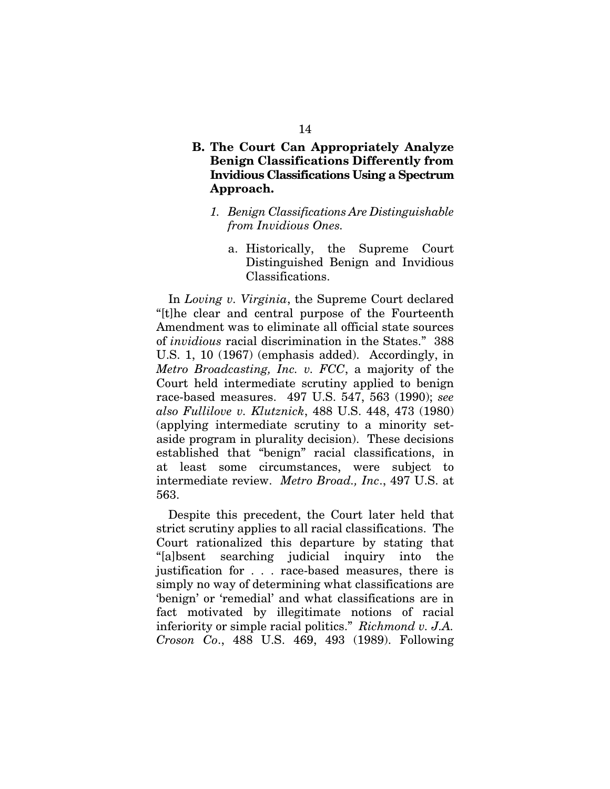## B. The Court Can Appropriately Analyze Benign Classifications Differently from Invidious Classifications Using a Spectrum Approach.

- *1. Benign Classifications Are Distinguishable from Invidious Ones.* 
	- a. Historically, the Supreme Court Distinguished Benign and Invidious Classifications.

In *Loving v. Virginia*, the Supreme Court declared "[t]he clear and central purpose of the Fourteenth Amendment was to eliminate all official state sources of *invidious* racial discrimination in the States." 388 U.S. 1, 10 (1967) (emphasis added). Accordingly, in *Metro Broadcasting, Inc. v. FCC*, a majority of the Court held intermediate scrutiny applied to benign race-based measures. 497 U.S. 547, 563 (1990); *see also Fullilove v. Klutznick*, 488 U.S. 448, 473 (1980) (applying intermediate scrutiny to a minority setaside program in plurality decision). These decisions established that "benign" racial classifications, in at least some circumstances, were subject to intermediate review. *Metro Broad., Inc*., 497 U.S. at 563.

Despite this precedent, the Court later held that strict scrutiny applies to all racial classifications. The Court rationalized this departure by stating that "[a]bsent searching judicial inquiry into the justification for . . . race-based measures, there is simply no way of determining what classifications are 'benign' or 'remedial' and what classifications are in fact motivated by illegitimate notions of racial inferiority or simple racial politics." *Richmond v. J.A. Croson Co*., 488 U.S. 469, 493 (1989). Following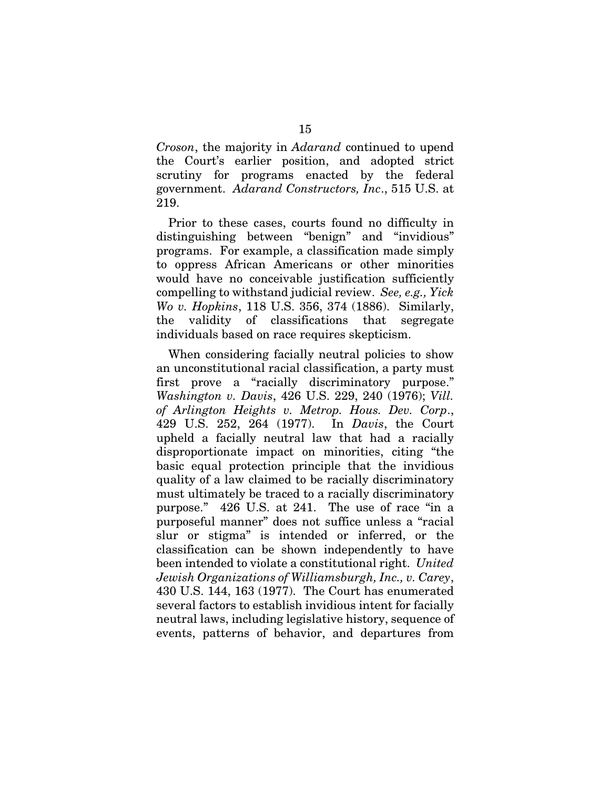*Croson*, the majority in *Adarand* continued to upend the Court's earlier position, and adopted strict scrutiny for programs enacted by the federal government. *Adarand Constructors, Inc*., 515 U.S. at 219.

Prior to these cases, courts found no difficulty in distinguishing between "benign" and "invidious" programs. For example, a classification made simply to oppress African Americans or other minorities would have no conceivable justification sufficiently compelling to withstand judicial review. *See, e.g., Yick Wo v. Hopkins*, 118 U.S. 356, 374 (1886). Similarly, the validity of classifications that segregate individuals based on race requires skepticism.

When considering facially neutral policies to show an unconstitutional racial classification, a party must first prove a "racially discriminatory purpose." *Washington v. Davis*, 426 U.S. 229, 240 (1976); *Vill. of Arlington Heights v. Metrop. Hous. Dev. Corp*., 429 U.S. 252, 264 (1977). In *Davis*, the Court upheld a facially neutral law that had a racially disproportionate impact on minorities, citing "the basic equal protection principle that the invidious quality of a law claimed to be racially discriminatory must ultimately be traced to a racially discriminatory purpose." 426 U.S. at 241. The use of race "in a purposeful manner" does not suffice unless a "racial slur or stigma" is intended or inferred, or the classification can be shown independently to have been intended to violate a constitutional right. *United Jewish Organizations of Williamsburgh, Inc., v. Carey*, 430 U.S. 144, 163 (1977). The Court has enumerated several factors to establish invidious intent for facially neutral laws, including legislative history, sequence of events, patterns of behavior, and departures from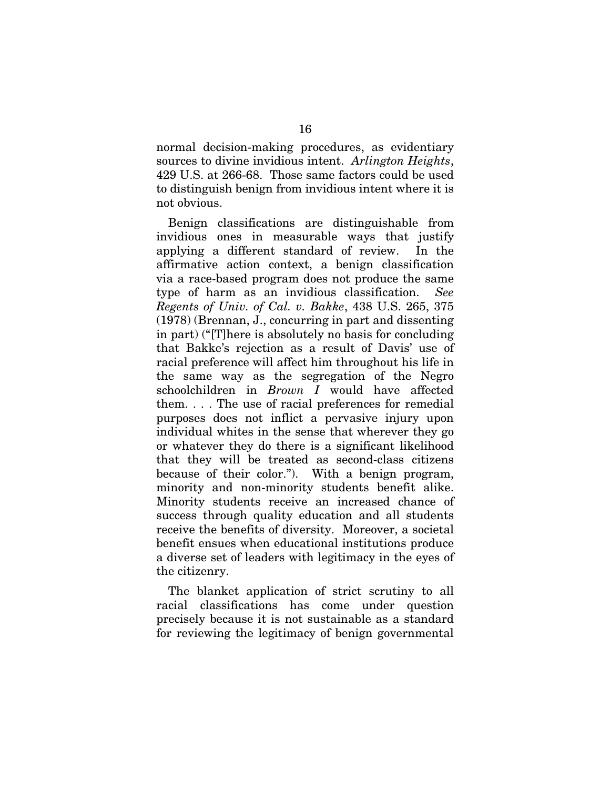normal decision-making procedures, as evidentiary sources to divine invidious intent. *Arlington Heights*, 429 U.S. at 266-68. Those same factors could be used to distinguish benign from invidious intent where it is not obvious.

Benign classifications are distinguishable from invidious ones in measurable ways that justify applying a different standard of review. In the affirmative action context, a benign classification via a race-based program does not produce the same type of harm as an invidious classification. *See Regents of Univ. of Cal. v. Bakke*, 438 U.S. 265, 375 (1978) (Brennan, J., concurring in part and dissenting in part) ("[T]here is absolutely no basis for concluding that Bakke's rejection as a result of Davis' use of racial preference will affect him throughout his life in the same way as the segregation of the Negro schoolchildren in *Brown I* would have affected them. . . . The use of racial preferences for remedial purposes does not inflict a pervasive injury upon individual whites in the sense that wherever they go or whatever they do there is a significant likelihood that they will be treated as second-class citizens because of their color."). With a benign program, minority and non-minority students benefit alike. Minority students receive an increased chance of success through quality education and all students receive the benefits of diversity. Moreover, a societal benefit ensues when educational institutions produce a diverse set of leaders with legitimacy in the eyes of the citizenry.

The blanket application of strict scrutiny to all racial classifications has come under question precisely because it is not sustainable as a standard for reviewing the legitimacy of benign governmental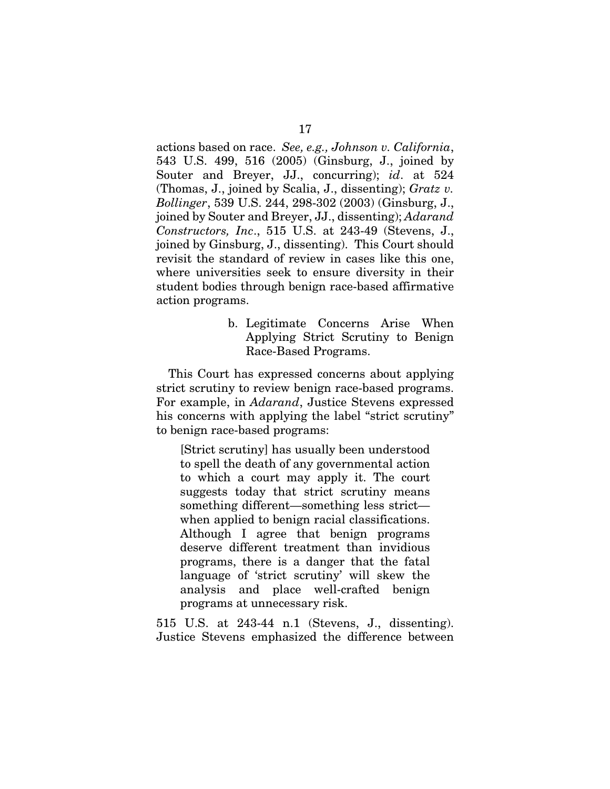actions based on race. *See, e.g., Johnson v. California*, 543 U.S. 499, 516 (2005) (Ginsburg, J., joined by Souter and Breyer, JJ., concurring); *id*. at 524 (Thomas, J., joined by Scalia, J., dissenting); *Gratz v. Bollinger*, 539 U.S. 244, 298-302 (2003) (Ginsburg, J., joined by Souter and Breyer, JJ., dissenting); *Adarand Constructors, Inc*., 515 U.S. at 243-49 (Stevens, J., joined by Ginsburg, J., dissenting). This Court should revisit the standard of review in cases like this one, where universities seek to ensure diversity in their student bodies through benign race-based affirmative action programs.

> b. Legitimate Concerns Arise When Applying Strict Scrutiny to Benign Race-Based Programs.

This Court has expressed concerns about applying strict scrutiny to review benign race-based programs. For example, in *Adarand*, Justice Stevens expressed his concerns with applying the label "strict scrutiny" to benign race-based programs:

[Strict scrutiny] has usually been understood to spell the death of any governmental action to which a court may apply it. The court suggests today that strict scrutiny means something different—something less strict when applied to benign racial classifications. Although I agree that benign programs deserve different treatment than invidious programs, there is a danger that the fatal language of 'strict scrutiny' will skew the analysis and place well-crafted benign programs at unnecessary risk.

515 U.S. at 243-44 n.1 (Stevens, J., dissenting). Justice Stevens emphasized the difference between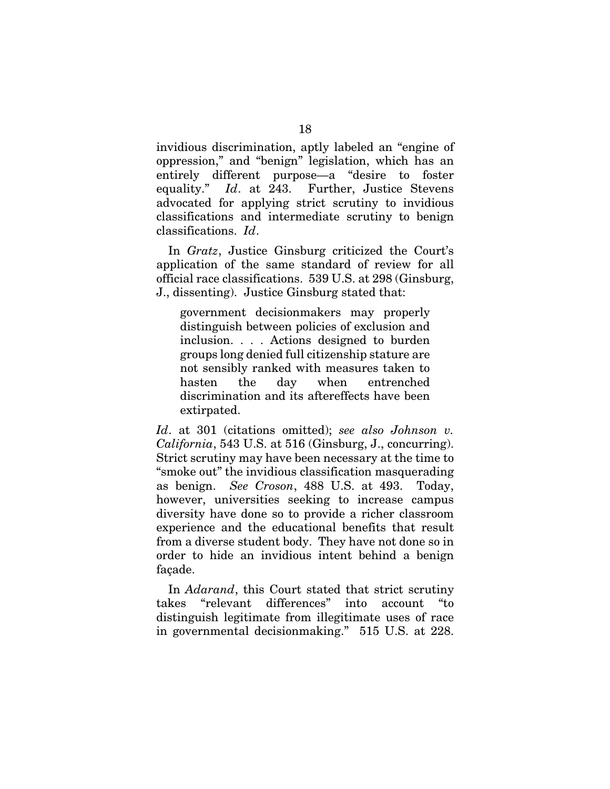invidious discrimination, aptly labeled an "engine of oppression," and "benign" legislation, which has an entirely different purpose—a "desire to foster equality." *Id*. at 243. Further, Justice Stevens advocated for applying strict scrutiny to invidious classifications and intermediate scrutiny to benign classifications. *Id*.

In *Gratz*, Justice Ginsburg criticized the Court's application of the same standard of review for all official race classifications. 539 U.S. at 298 (Ginsburg, J., dissenting). Justice Ginsburg stated that:

government decisionmakers may properly distinguish between policies of exclusion and inclusion. . . . Actions designed to burden groups long denied full citizenship stature are not sensibly ranked with measures taken to hasten the day when entrenched discrimination and its aftereffects have been extirpated.

*Id*. at 301 (citations omitted); *see also Johnson v. California*, 543 U.S. at 516 (Ginsburg, J., concurring). Strict scrutiny may have been necessary at the time to "smoke out" the invidious classification masquerading as benign. *See Croson*, 488 U.S. at 493. Today, however, universities seeking to increase campus diversity have done so to provide a richer classroom experience and the educational benefits that result from a diverse student body. They have not done so in order to hide an invidious intent behind a benign façade.

In *Adarand*, this Court stated that strict scrutiny takes "relevant differences" into account distinguish legitimate from illegitimate uses of race in governmental decisionmaking." 515 U.S. at 228.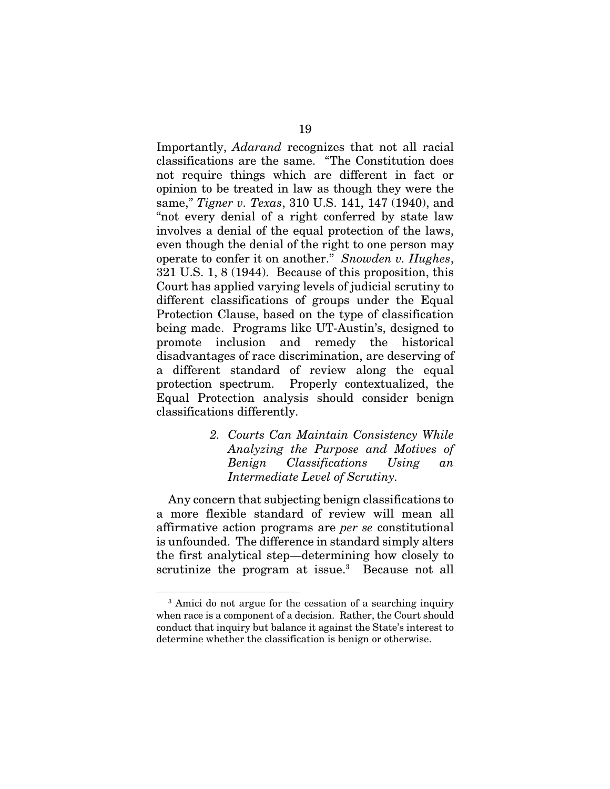Importantly, *Adarand* recognizes that not all racial classifications are the same. "The Constitution does not require things which are different in fact or opinion to be treated in law as though they were the same," *Tigner v. Texas*, 310 U.S. 141, 147 (1940), and "not every denial of a right conferred by state law involves a denial of the equal protection of the laws, even though the denial of the right to one person may operate to confer it on another." *Snowden v. Hughes*, 321 U.S. 1, 8 (1944). Because of this proposition, this Court has applied varying levels of judicial scrutiny to different classifications of groups under the Equal Protection Clause, based on the type of classification being made. Programs like UT-Austin's, designed to promote inclusion and remedy the historical disadvantages of race discrimination, are deserving of a different standard of review along the equal protection spectrum. Properly contextualized, the Equal Protection analysis should consider benign classifications differently.

> *2. Courts Can Maintain Consistency While Analyzing the Purpose and Motives of Benign Classifications Using an Intermediate Level of Scrutiny.*

Any concern that subjecting benign classifications to a more flexible standard of review will mean all affirmative action programs are *per se* constitutional is unfounded. The difference in standard simply alters the first analytical step—determining how closely to scrutinize the program at issue.<sup>3</sup> Because not all

<sup>&</sup>lt;sup>3</sup> Amici do not argue for the cessation of a searching inquiry when race is a component of a decision. Rather, the Court should conduct that inquiry but balance it against the State's interest to determine whether the classification is benign or otherwise.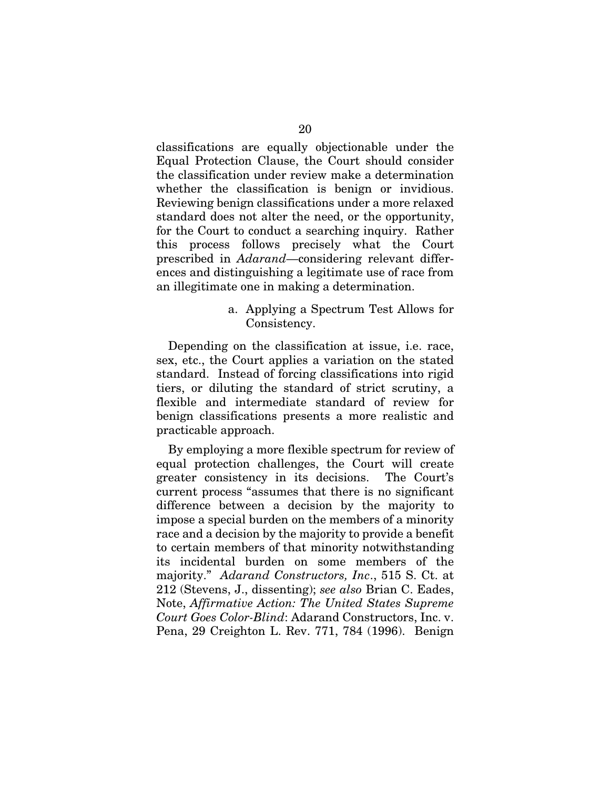classifications are equally objectionable under the Equal Protection Clause, the Court should consider the classification under review make a determination whether the classification is benign or invidious. Reviewing benign classifications under a more relaxed standard does not alter the need, or the opportunity, for the Court to conduct a searching inquiry. Rather this process follows precisely what the Court prescribed in *Adarand*—considering relevant differences and distinguishing a legitimate use of race from an illegitimate one in making a determination.

> a. Applying a Spectrum Test Allows for Consistency.

Depending on the classification at issue, i.e. race, sex, etc., the Court applies a variation on the stated standard. Instead of forcing classifications into rigid tiers, or diluting the standard of strict scrutiny, a flexible and intermediate standard of review for benign classifications presents a more realistic and practicable approach.

By employing a more flexible spectrum for review of equal protection challenges, the Court will create greater consistency in its decisions. The Court's current process "assumes that there is no significant difference between a decision by the majority to impose a special burden on the members of a minority race and a decision by the majority to provide a benefit to certain members of that minority notwithstanding its incidental burden on some members of the majority." *Adarand Constructors, Inc*., 515 S. Ct. at 212 (Stevens, J., dissenting); *see also* Brian C. Eades, Note, *Affirmative Action: The United States Supreme Court Goes Color-Blind*: Adarand Constructors, Inc. v. Pena, 29 Creighton L. Rev. 771, 784 (1996). Benign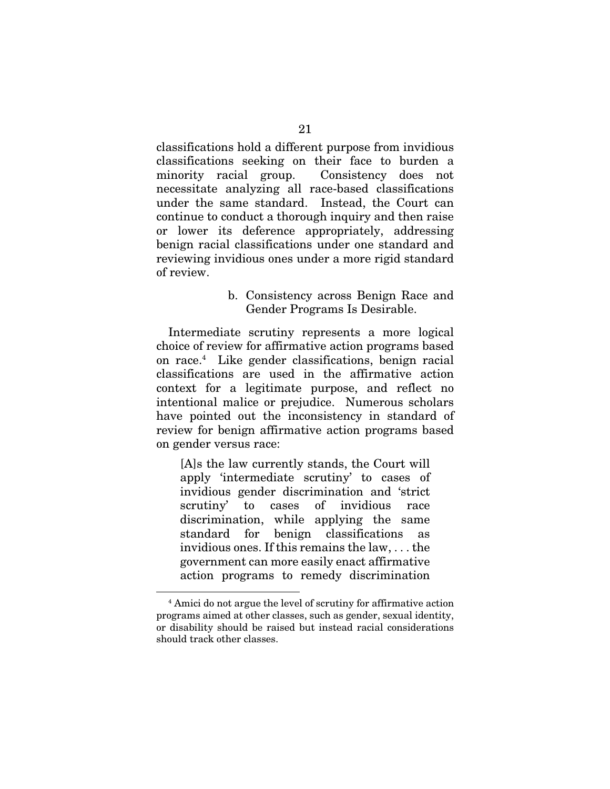classifications hold a different purpose from invidious classifications seeking on their face to burden a minority racial group. Consistency does not necessitate analyzing all race-based classifications under the same standard. Instead, the Court can continue to conduct a thorough inquiry and then raise or lower its deference appropriately, addressing benign racial classifications under one standard and reviewing invidious ones under a more rigid standard of review.

## b. Consistency across Benign Race and Gender Programs Is Desirable.

Intermediate scrutiny represents a more logical choice of review for affirmative action programs based on race.4 Like gender classifications, benign racial classifications are used in the affirmative action context for a legitimate purpose, and reflect no intentional malice or prejudice. Numerous scholars have pointed out the inconsistency in standard of review for benign affirmative action programs based on gender versus race:

[A]s the law currently stands, the Court will apply 'intermediate scrutiny' to cases of invidious gender discrimination and 'strict scrutiny' to cases of invidious race discrimination, while applying the same standard for benign classifications as invidious ones. If this remains the law, . . . the government can more easily enact affirmative action programs to remedy discrimination

<sup>4</sup> Amici do not argue the level of scrutiny for affirmative action programs aimed at other classes, such as gender, sexual identity, or disability should be raised but instead racial considerations should track other classes.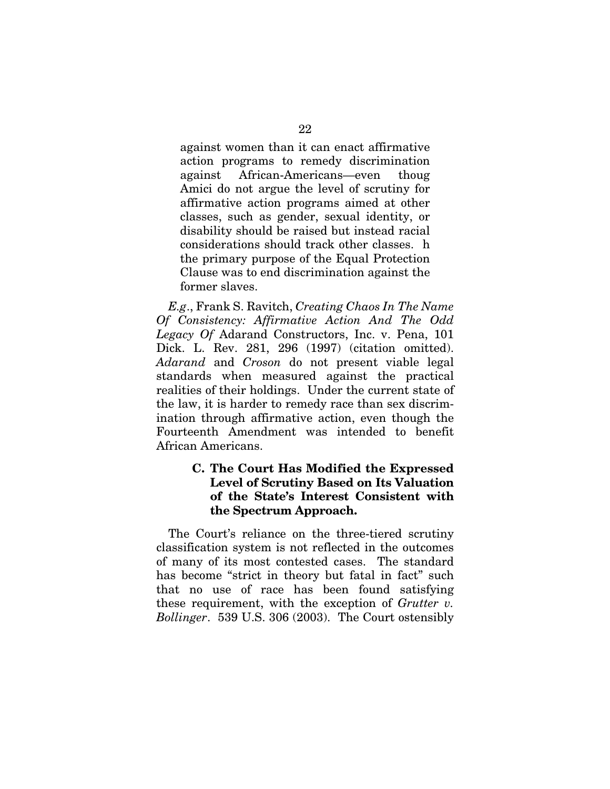against women than it can enact affirmative action programs to remedy discrimination against African-Americans—even thoug Amici do not argue the level of scrutiny for affirmative action programs aimed at other classes, such as gender, sexual identity, or disability should be raised but instead racial considerations should track other classes. h the primary purpose of the Equal Protection Clause was to end discrimination against the former slaves.

*E.g*., Frank S. Ravitch, *Creating Chaos In The Name Of Consistency: Affirmative Action And The Odd Legacy Of* Adarand Constructors, Inc. v. Pena, 101 Dick. L. Rev. 281, 296 (1997) (citation omitted). *Adarand* and *Croson* do not present viable legal standards when measured against the practical realities of their holdings. Under the current state of the law, it is harder to remedy race than sex discrimination through affirmative action, even though the Fourteenth Amendment was intended to benefit African Americans.

## C. The Court Has Modified the Expressed Level of Scrutiny Based on Its Valuation of the State's Interest Consistent with the Spectrum Approach.

The Court's reliance on the three-tiered scrutiny classification system is not reflected in the outcomes of many of its most contested cases. The standard has become "strict in theory but fatal in fact" such that no use of race has been found satisfying these requirement, with the exception of *Grutter v. Bollinger*. 539 U.S. 306 (2003). The Court ostensibly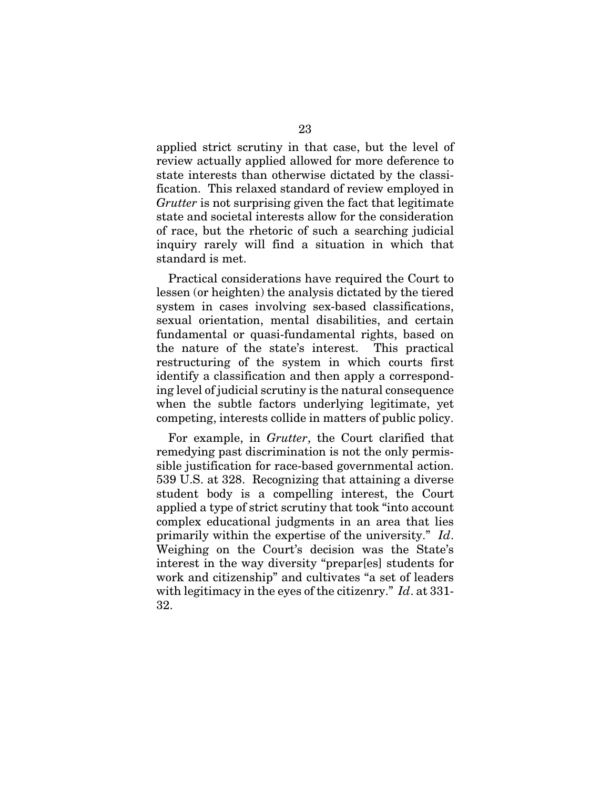applied strict scrutiny in that case, but the level of review actually applied allowed for more deference to state interests than otherwise dictated by the classification. This relaxed standard of review employed in *Grutter* is not surprising given the fact that legitimate state and societal interests allow for the consideration of race, but the rhetoric of such a searching judicial inquiry rarely will find a situation in which that standard is met.

Practical considerations have required the Court to lessen (or heighten) the analysis dictated by the tiered system in cases involving sex-based classifications, sexual orientation, mental disabilities, and certain fundamental or quasi-fundamental rights, based on the nature of the state's interest. This practical restructuring of the system in which courts first identify a classification and then apply a corresponding level of judicial scrutiny is the natural consequence when the subtle factors underlying legitimate, yet competing, interests collide in matters of public policy.

For example, in *Grutter*, the Court clarified that remedying past discrimination is not the only permissible justification for race-based governmental action. 539 U.S. at 328. Recognizing that attaining a diverse student body is a compelling interest, the Court applied a type of strict scrutiny that took "into account complex educational judgments in an area that lies primarily within the expertise of the university." *Id*. Weighing on the Court's decision was the State's interest in the way diversity "prepar[es] students for work and citizenship" and cultivates "a set of leaders with legitimacy in the eyes of the citizenry." *Id*. at 331- 32.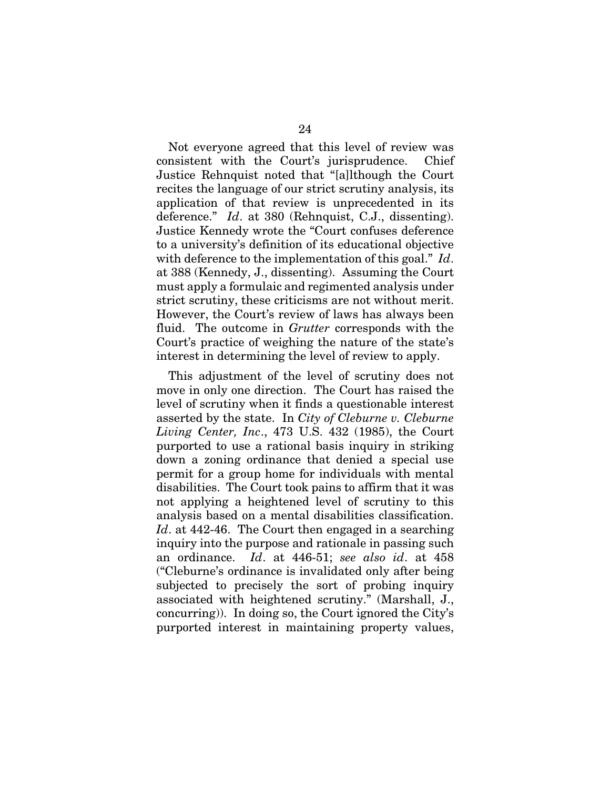Not everyone agreed that this level of review was consistent with the Court's jurisprudence. Chief Justice Rehnquist noted that "[a]lthough the Court recites the language of our strict scrutiny analysis, its application of that review is unprecedented in its deference." *Id*. at 380 (Rehnquist, C.J., dissenting). Justice Kennedy wrote the "Court confuses deference to a university's definition of its educational objective with deference to the implementation of this goal." *Id*. at 388 (Kennedy, J., dissenting). Assuming the Court must apply a formulaic and regimented analysis under strict scrutiny, these criticisms are not without merit. However, the Court's review of laws has always been fluid. The outcome in *Grutter* corresponds with the Court's practice of weighing the nature of the state's interest in determining the level of review to apply.

This adjustment of the level of scrutiny does not move in only one direction. The Court has raised the level of scrutiny when it finds a questionable interest asserted by the state. In *City of Cleburne v. Cleburne Living Center, Inc*., 473 U.S. 432 (1985), the Court purported to use a rational basis inquiry in striking down a zoning ordinance that denied a special use permit for a group home for individuals with mental disabilities. The Court took pains to affirm that it was not applying a heightened level of scrutiny to this analysis based on a mental disabilities classification. *Id*. at 442-46. The Court then engaged in a searching inquiry into the purpose and rationale in passing such an ordinance. *Id*. at 446-51; *see also id*. at 458 ("Cleburne's ordinance is invalidated only after being subjected to precisely the sort of probing inquiry associated with heightened scrutiny." (Marshall, J., concurring)). In doing so, the Court ignored the City's purported interest in maintaining property values,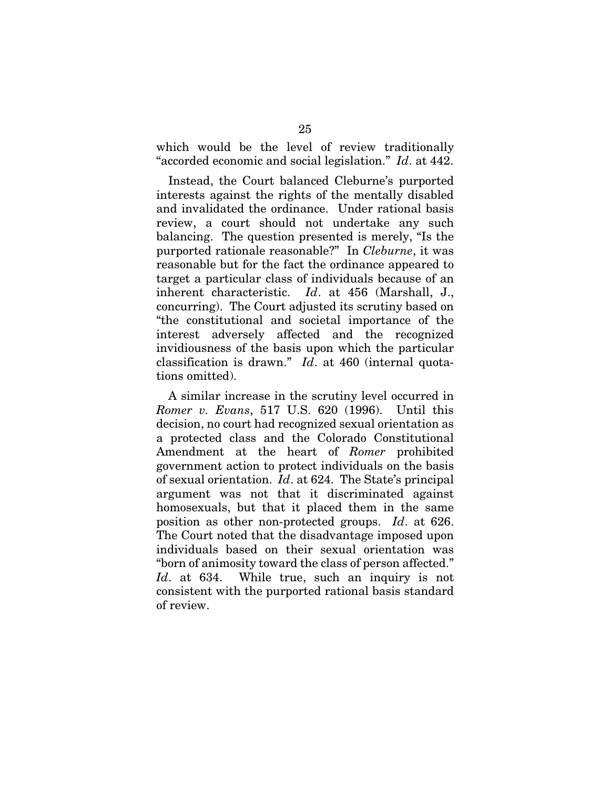which would be the level of review traditionally "accorded economic and social legislation." *Id*. at 442.

Instead, the Court balanced Cleburne's purported interests against the rights of the mentally disabled and invalidated the ordinance. Under rational basis review, a court should not undertake any such balancing. The question presented is merely, "Is the purported rationale reasonable?" In *Cleburne*, it was reasonable but for the fact the ordinance appeared to target a particular class of individuals because of an inherent characteristic. *Id*. at 456 (Marshall, J., concurring). The Court adjusted its scrutiny based on "the constitutional and societal importance of the interest adversely affected and the recognized invidiousness of the basis upon which the particular classification is drawn." *Id*. at 460 (internal quotations omitted).

A similar increase in the scrutiny level occurred in *Romer v. Evans*, 517 U.S. 620 (1996). Until this decision, no court had recognized sexual orientation as a protected class and the Colorado Constitutional Amendment at the heart of *Romer* prohibited government action to protect individuals on the basis of sexual orientation. *Id*. at 624. The State's principal argument was not that it discriminated against homosexuals, but that it placed them in the same position as other non-protected groups. *Id*. at 626. The Court noted that the disadvantage imposed upon individuals based on their sexual orientation was "born of animosity toward the class of person affected." *Id*. at 634. While true, such an inquiry is not consistent with the purported rational basis standard of review.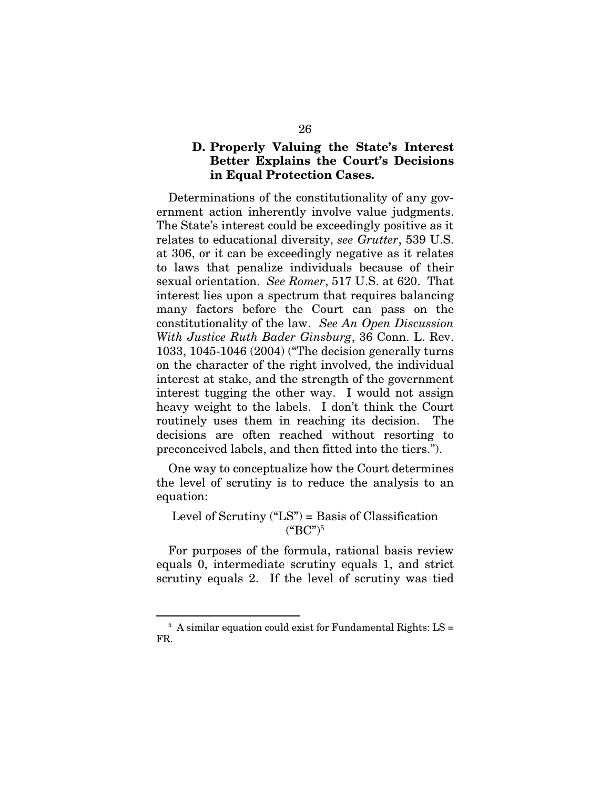## D. Properly Valuing the State's Interest Better Explains the Court's Decisions in Equal Protection Cases.

Determinations of the constitutionality of any government action inherently involve value judgments. The State's interest could be exceedingly positive as it relates to educational diversity, *see Grutter*, 539 U.S. at 306, or it can be exceedingly negative as it relates to laws that penalize individuals because of their sexual orientation. *See Romer*, 517 U.S. at 620. That interest lies upon a spectrum that requires balancing many factors before the Court can pass on the constitutionality of the law. *See An Open Discussion With Justice Ruth Bader Ginsburg*, 36 Conn. L. Rev. 1033, 1045-1046 (2004) ("The decision generally turns on the character of the right involved, the individual interest at stake, and the strength of the government interest tugging the other way. I would not assign heavy weight to the labels. I don't think the Court routinely uses them in reaching its decision. The decisions are often reached without resorting to preconceived labels, and then fitted into the tiers.").

One way to conceptualize how the Court determines the level of scrutiny is to reduce the analysis to an equation:

## Level of Scrutiny  $("LS") = Basis of Classification$  $(^{4}$ BC")<sup>5</sup>

For purposes of the formula, rational basis review equals 0, intermediate scrutiny equals 1, and strict scrutiny equals 2. If the level of scrutiny was tied

 $5$  A similar equation could exist for Fundamental Rights: LS = FR.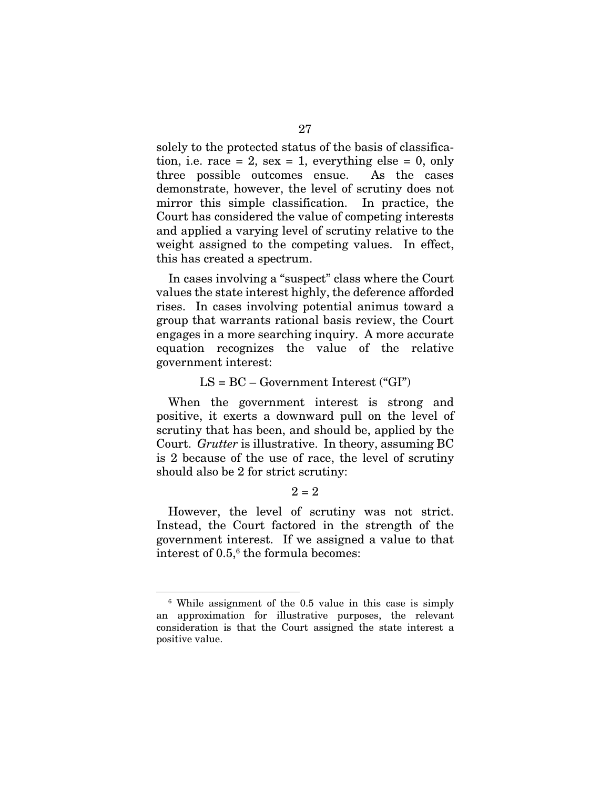solely to the protected status of the basis of classification, i.e. race  $= 2$ , sex  $= 1$ , everything else  $= 0$ , only three possible outcomes ensue. As the cases demonstrate, however, the level of scrutiny does not mirror this simple classification. In practice, the Court has considered the value of competing interests and applied a varying level of scrutiny relative to the weight assigned to the competing values. In effect, this has created a spectrum.

In cases involving a "suspect" class where the Court values the state interest highly, the deference afforded rises. In cases involving potential animus toward a group that warrants rational basis review, the Court engages in a more searching inquiry. A more accurate equation recognizes the value of the relative government interest:

#### $LS = BC - Government Interest$  ("GI")

When the government interest is strong and positive, it exerts a downward pull on the level of scrutiny that has been, and should be, applied by the Court. *Grutter* is illustrative. In theory, assuming BC is 2 because of the use of race, the level of scrutiny should also be 2 for strict scrutiny:

#### $2 = 2$

However, the level of scrutiny was not strict. Instead, the Court factored in the strength of the government interest. If we assigned a value to that interest of 0.5,<sup>6</sup> the formula becomes:

<sup>6</sup> While assignment of the 0.5 value in this case is simply an approximation for illustrative purposes, the relevant consideration is that the Court assigned the state interest a positive value.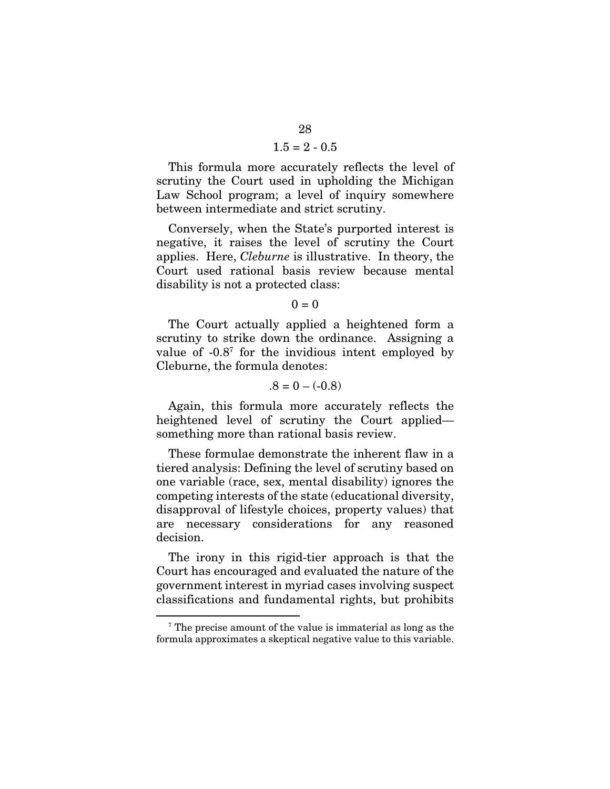### $1.5 = 2 - 0.5$

This formula more accurately reflects the level of scrutiny the Court used in upholding the Michigan Law School program; a level of inquiry somewhere between intermediate and strict scrutiny.

Conversely, when the State's purported interest is negative, it raises the level of scrutiny the Court applies. Here, *Cleburne* is illustrative. In theory, the Court used rational basis review because mental disability is not a protected class:

#### $0 = 0$

The Court actually applied a heightened form a scrutiny to strike down the ordinance. Assigning a value of -0.87 for the invidious intent employed by Cleburne, the formula denotes:

#### $.8 = 0 - (-0.8)$

Again, this formula more accurately reflects the heightened level of scrutiny the Court applied something more than rational basis review.

These formulae demonstrate the inherent flaw in a tiered analysis: Defining the level of scrutiny based on one variable (race, sex, mental disability) ignores the competing interests of the state (educational diversity, disapproval of lifestyle choices, property values) that are necessary considerations for any reasoned decision.

The irony in this rigid-tier approach is that the Court has encouraged and evaluated the nature of the government interest in myriad cases involving suspect classifications and fundamental rights, but prohibits

<sup>7</sup> The precise amount of the value is immaterial as long as the formula approximates a skeptical negative value to this variable.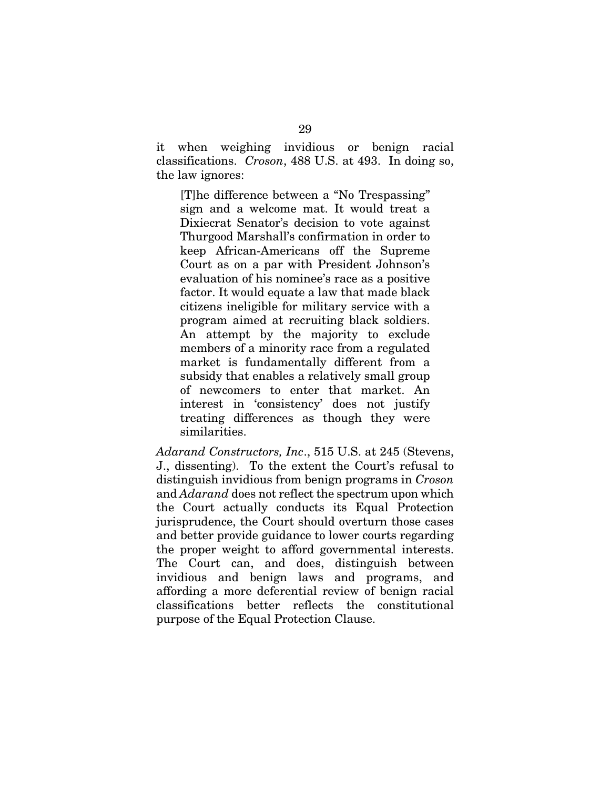it when weighing invidious or benign racial classifications. *Croson*, 488 U.S. at 493. In doing so, the law ignores:

[T]he difference between a "No Trespassing" sign and a welcome mat. It would treat a Dixiecrat Senator's decision to vote against Thurgood Marshall's confirmation in order to keep African-Americans off the Supreme Court as on a par with President Johnson's evaluation of his nominee's race as a positive factor. It would equate a law that made black citizens ineligible for military service with a program aimed at recruiting black soldiers. An attempt by the majority to exclude members of a minority race from a regulated market is fundamentally different from a subsidy that enables a relatively small group of newcomers to enter that market. An interest in 'consistency' does not justify treating differences as though they were similarities.

*Adarand Constructors, Inc*., 515 U.S. at 245 (Stevens, J., dissenting). To the extent the Court's refusal to distinguish invidious from benign programs in *Croson* and *Adarand* does not reflect the spectrum upon which the Court actually conducts its Equal Protection jurisprudence, the Court should overturn those cases and better provide guidance to lower courts regarding the proper weight to afford governmental interests. The Court can, and does, distinguish between invidious and benign laws and programs, and affording a more deferential review of benign racial classifications better reflects the constitutional purpose of the Equal Protection Clause.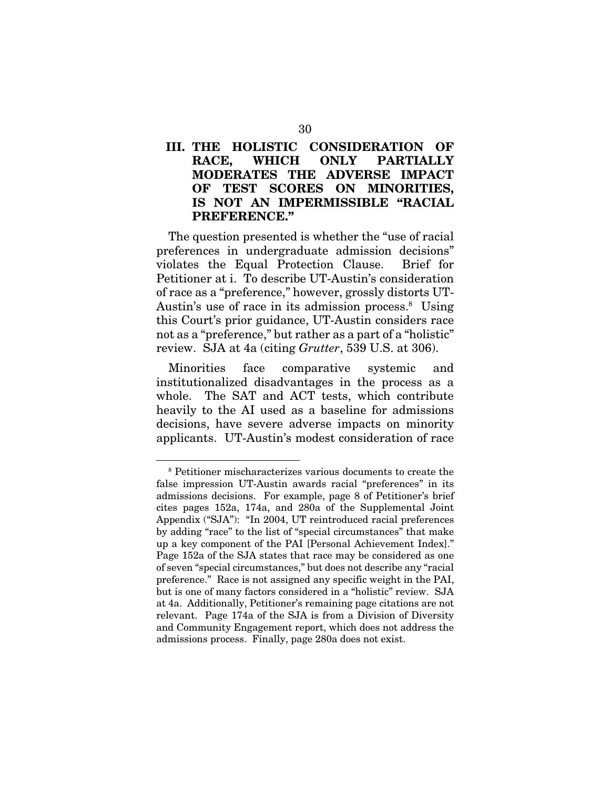## III. THE HOLISTIC CONSIDERATION OF RACE, WHICH ONLY PARTIALLY MODERATES THE ADVERSE IMPACT OF TEST SCORES ON MINORITIES, IS NOT AN IMPERMISSIBLE "RACIAL PREFERENCE."

The question presented is whether the "use of racial preferences in undergraduate admission decisions" violates the Equal Protection Clause. Brief for Petitioner at i. To describe UT-Austin's consideration of race as a "preference," however, grossly distorts UT-Austin's use of race in its admission process.<sup>8</sup> Using this Court's prior guidance, UT-Austin considers race not as a "preference," but rather as a part of a "holistic" review. SJA at 4a (citing *Grutter*, 539 U.S. at 306).

Minorities face comparative systemic and institutionalized disadvantages in the process as a whole. The SAT and ACT tests, which contribute heavily to the AI used as a baseline for admissions decisions, have severe adverse impacts on minority applicants. UT-Austin's modest consideration of race

<sup>8</sup> Petitioner mischaracterizes various documents to create the false impression UT-Austin awards racial "preferences" in its admissions decisions. For example, page 8 of Petitioner's brief cites pages 152a, 174a, and 280a of the Supplemental Joint Appendix ("SJA"): "In 2004, UT reintroduced racial preferences by adding "race" to the list of "special circumstances" that make up a key component of the PAI [Personal Achievement Index]." Page 152a of the SJA states that race may be considered as one of seven "special circumstances," but does not describe any "racial preference." Race is not assigned any specific weight in the PAI, but is one of many factors considered in a "holistic" review. SJA at 4a. Additionally, Petitioner's remaining page citations are not relevant. Page 174a of the SJA is from a Division of Diversity and Community Engagement report, which does not address the admissions process. Finally, page 280a does not exist.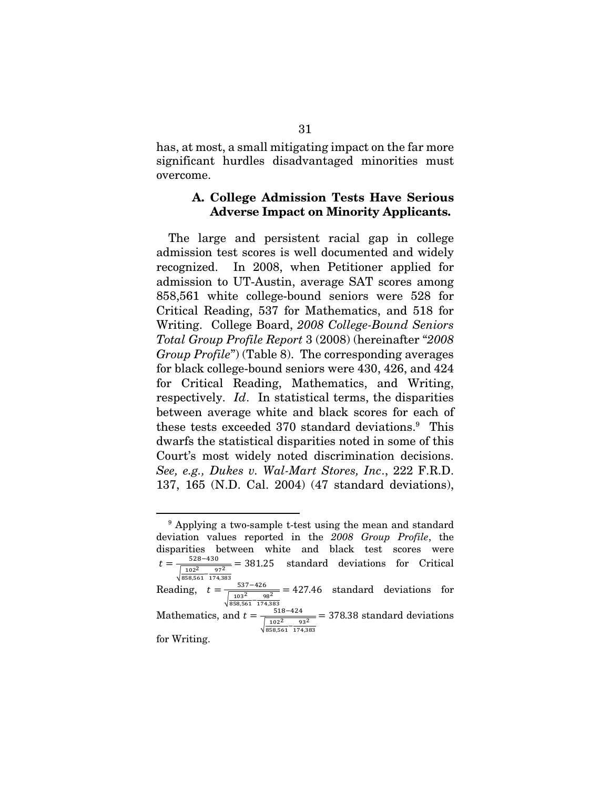has, at most, a small mitigating impact on the far more significant hurdles disadvantaged minorities must overcome.

### A. College Admission Tests Have Serious Adverse Impact on Minority Applicants.

The large and persistent racial gap in college admission test scores is well documented and widely recognized. In 2008, when Petitioner applied for admission to UT-Austin, average SAT scores among 858,561 white college-bound seniors were 528 for Critical Reading, 537 for Mathematics, and 518 for Writing. College Board, *2008 College-Bound Seniors Total Group Profile Report* 3 (2008) (hereinafter "*2008 Group Profile*") (Table 8). The corresponding averages for black college-bound seniors were 430, 426, and 424 for Critical Reading, Mathematics, and Writing, respectively. *Id*. In statistical terms, the disparities between average white and black scores for each of these tests exceeded 370 standard deviations.9 This dwarfs the statistical disparities noted in some of this Court's most widely noted discrimination decisions. *See, e.g., Dukes v. Wal-Mart Stores, Inc*., 222 F.R.D. 137, 165 (N.D. Cal. 2004) (47 standard deviations),

<sup>9</sup> Applying a two-sample t-test using the mean and standard deviation values reported in the *2008 Group Profile*, the disparities between white and black test scores were  $t = \frac{528 - 430}{2}$  $\sqrt{\frac{102^2}{858,561} - \frac{97^2}{174,383}}$  $= 381.25$  standard deviations for Critical Reading,  $t = \frac{537-426}{\sqrt{\frac{103^2}{858,561}-\frac{98^2}{174,383}}}$  $\frac{v}{\sigma^2}$  = 427.46 standard deviations for Mathematics, and  $t = \frac{518 - 424}{\sqrt{\frac{102^2}{858,561} - \frac{93^2}{174,383}}}$  $=$  378.38 standard deviations for Writing.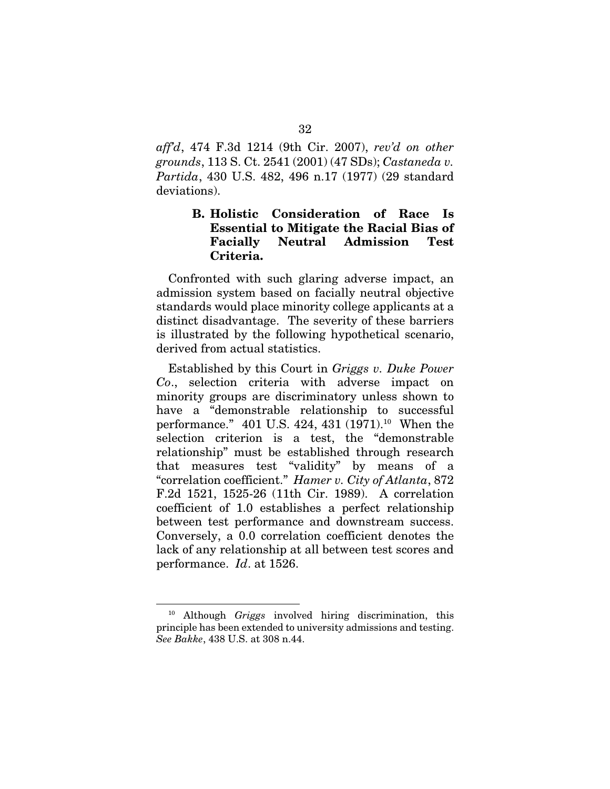*aff'd*, 474 F.3d 1214 (9th Cir. 2007), *rev'd on other grounds*, 113 S. Ct. 2541 (2001) (47 SDs); *Castaneda v. Partida*, 430 U.S. 482, 496 n.17 (1977) (29 standard deviations).

## B. Holistic Consideration of Race Is Essential to Mitigate the Racial Bias of Facially Neutral Admission Test Criteria.

Confronted with such glaring adverse impact, an admission system based on facially neutral objective standards would place minority college applicants at a distinct disadvantage. The severity of these barriers is illustrated by the following hypothetical scenario, derived from actual statistics.

Established by this Court in *Griggs v. Duke Power Co*., selection criteria with adverse impact on minority groups are discriminatory unless shown to have a "demonstrable relationship to successful performance." 401 U.S. 424, 431 (1971).10 When the selection criterion is a test, the "demonstrable relationship" must be established through research that measures test "validity" by means of a "correlation coefficient." *Hamer v. City of Atlanta*, 872 F.2d 1521, 1525-26 (11th Cir. 1989). A correlation coefficient of 1.0 establishes a perfect relationship between test performance and downstream success. Conversely, a 0.0 correlation coefficient denotes the lack of any relationship at all between test scores and performance. *Id*. at 1526.

<sup>10</sup> Although *Griggs* involved hiring discrimination, this principle has been extended to university admissions and testing. *See Bakke*, 438 U.S. at 308 n.44.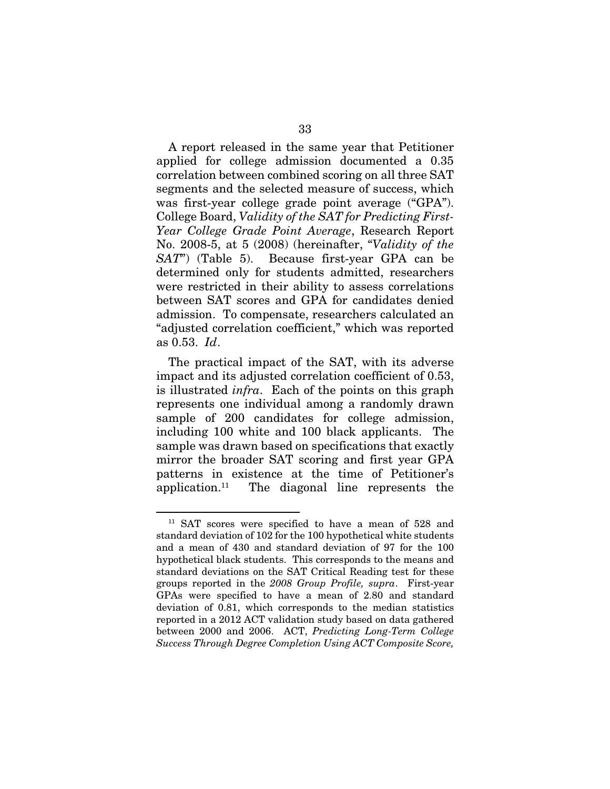A report released in the same year that Petitioner applied for college admission documented a 0.35 correlation between combined scoring on all three SAT segments and the selected measure of success, which was first-year college grade point average ("GPA"). College Board, *Validity of the SAT for Predicting First-Year College Grade Point Average*, Research Report No. 2008-5, at 5 (2008) (hereinafter, "*Validity of the SAT*") (Table 5). Because first-year GPA can be determined only for students admitted, researchers were restricted in their ability to assess correlations between SAT scores and GPA for candidates denied admission. To compensate, researchers calculated an "adjusted correlation coefficient," which was reported as 0.53. *Id*.

The practical impact of the SAT, with its adverse impact and its adjusted correlation coefficient of 0.53, is illustrated *infra*. Each of the points on this graph represents one individual among a randomly drawn sample of 200 candidates for college admission, including 100 white and 100 black applicants. The sample was drawn based on specifications that exactly mirror the broader SAT scoring and first year GPA patterns in existence at the time of Petitioner's application.<sup>11</sup> The diagonal line represents the

<sup>11</sup> SAT scores were specified to have a mean of 528 and standard deviation of 102 for the 100 hypothetical white students and a mean of 430 and standard deviation of 97 for the 100 hypothetical black students. This corresponds to the means and standard deviations on the SAT Critical Reading test for these groups reported in the *2008 Group Profile, supra*. First-year GPAs were specified to have a mean of 2.80 and standard deviation of 0.81, which corresponds to the median statistics reported in a 2012 ACT validation study based on data gathered between 2000 and 2006. ACT, *Predicting Long-Term College Success Through Degree Completion Using ACT Composite Score,*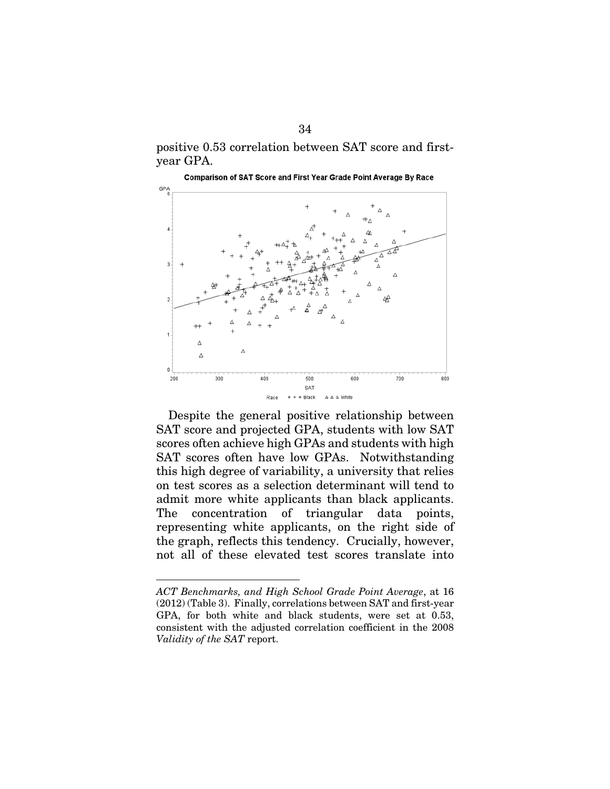positive 0.53 correlation between SAT score and firstyear GPA.



Despite the general positive relationship between SAT score and projected GPA, students with low SAT scores often achieve high GPAs and students with high SAT scores often have low GPAs. Notwithstanding this high degree of variability, a university that relies on test scores as a selection determinant will tend to admit more white applicants than black applicants. The concentration of triangular data points, representing white applicants, on the right side of the graph, reflects this tendency. Crucially, however, not all of these elevated test scores translate into

*ACT Benchmarks, and High School Grade Point Average*, at 16 (2012) (Table 3). Finally, correlations between SAT and first-year GPA, for both white and black students, were set at 0.53, consistent with the adjusted correlation coefficient in the 2008 *Validity of the SAT* report.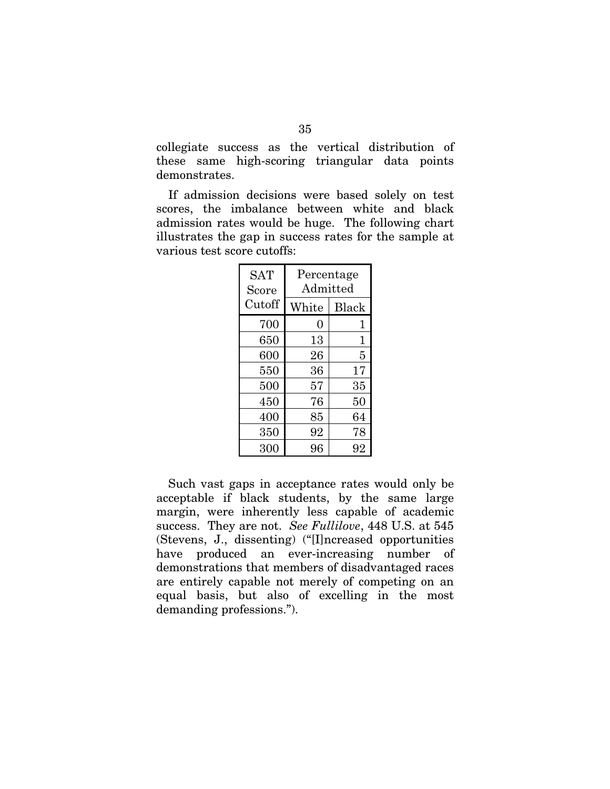collegiate success as the vertical distribution of these same high-scoring triangular data points demonstrates.

If admission decisions were based solely on test scores, the imbalance between white and black admission rates would be huge. The following chart illustrates the gap in success rates for the sample at various test score cutoffs:

| <b>SAT</b><br>Score | Percentage<br>Admitted |              |  |
|---------------------|------------------------|--------------|--|
| Cutoff              | White                  | <b>Black</b> |  |
| 700                 | 0                      | 1            |  |
| 650                 | 13                     | $\mathbf 1$  |  |
| 600                 | 26                     | 5            |  |
| 550                 | 36                     | 17           |  |
| 500                 | 57                     | 35           |  |
| 450                 | 76                     | 50           |  |
| 400                 | 85                     | 64           |  |
| 350                 | 92                     | 78           |  |
| 300                 | 96                     | 92           |  |

Such vast gaps in acceptance rates would only be acceptable if black students, by the same large margin, were inherently less capable of academic success. They are not. *See Fullilove*, 448 U.S. at 545 (Stevens, J., dissenting) ("[I]ncreased opportunities have produced an ever-increasing number of demonstrations that members of disadvantaged races are entirely capable not merely of competing on an equal basis, but also of excelling in the most demanding professions.").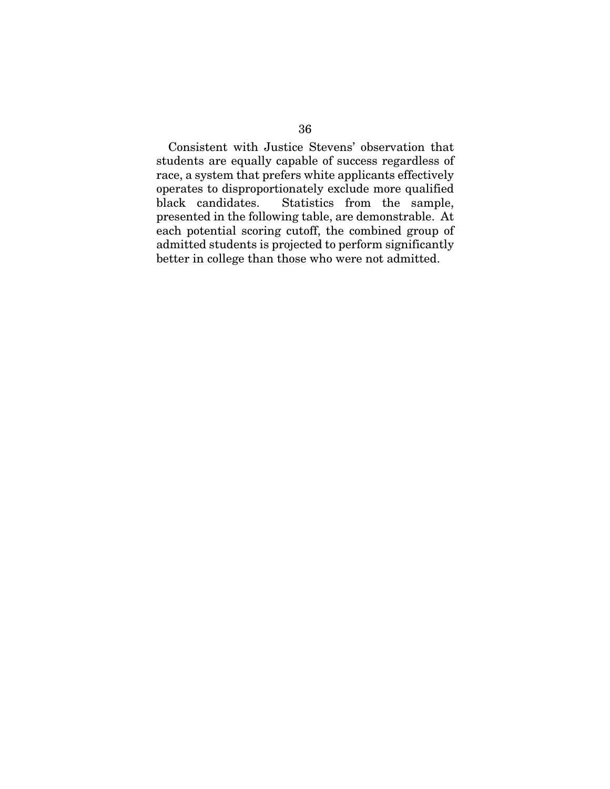Consistent with Justice Stevens' observation that students are equally capable of success regardless of race, a system that prefers white applicants effectively operates to disproportionately exclude more qualified black candidates. Statistics from the sample, presented in the following table, are demonstrable. At each potential scoring cutoff, the combined group of admitted students is projected to perform significantly better in college than those who were not admitted.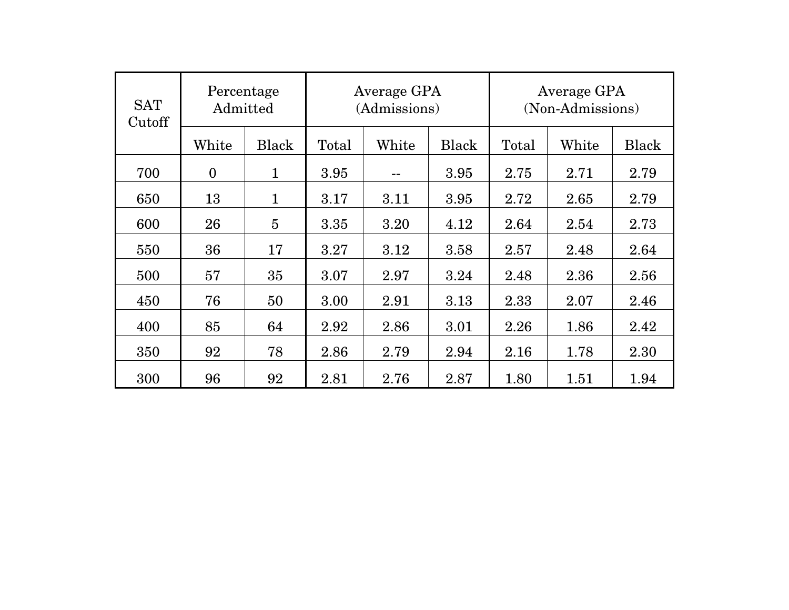| <b>SAT</b><br>Cutoff | Percentage<br>Admitted |                | Average GPA<br>(Admissions) |       | Average GPA<br>(Non-Admissions) |       |       |       |
|----------------------|------------------------|----------------|-----------------------------|-------|---------------------------------|-------|-------|-------|
|                      | White                  | <b>Black</b>   | Total                       | White | Black                           | Total | White | Black |
| 700                  | $\mathbf{0}$           | $\mathbf{1}$   | 3.95                        | --    | 3.95                            | 2.75  | 2.71  | 2.79  |
| 650                  | 13                     | $\mathbf{1}$   | 3.17                        | 3.11  | 3.95                            | 2.72  | 2.65  | 2.79  |
| 600                  | 26                     | $\overline{5}$ | 3.35                        | 3.20  | 4.12                            | 2.64  | 2.54  | 2.73  |
| 550                  | 36                     | 17             | 3.27                        | 3.12  | 3.58                            | 2.57  | 2.48  | 2.64  |
| 500                  | 57                     | 35             | 3.07                        | 2.97  | 3.24                            | 2.48  | 2.36  | 2.56  |
| 450                  | 76                     | 50             | 3.00                        | 2.91  | 3.13                            | 2.33  | 2.07  | 2.46  |
| 400                  | 85                     | 64             | 2.92                        | 2.86  | 3.01                            | 2.26  | 1.86  | 2.42  |
| 350                  | 92                     | 78             | 2.86                        | 2.79  | 2.94                            | 2.16  | 1.78  | 2.30  |
| 300                  | 96                     | 92             | 2.81                        | 2.76  | 2.87                            | 1.80  | 1.51  | 1.94  |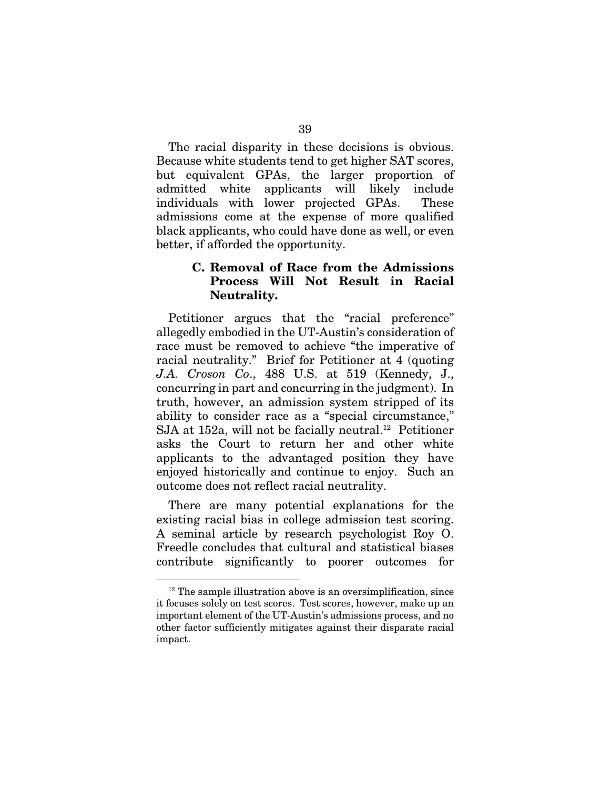The racial disparity in these decisions is obvious. Because white students tend to get higher SAT scores, but equivalent GPAs, the larger proportion of admitted white applicants will likely include individuals with lower projected GPAs. These admissions come at the expense of more qualified black applicants, who could have done as well, or even better, if afforded the opportunity.

### C. Removal of Race from the Admissions Process Will Not Result in Racial Neutrality.

Petitioner argues that the "racial preference" allegedly embodied in the UT-Austin's consideration of race must be removed to achieve "the imperative of racial neutrality." Brief for Petitioner at 4 (quoting *J.A. Croson Co*., 488 U.S. at 519 (Kennedy, J., concurring in part and concurring in the judgment). In truth, however, an admission system stripped of its ability to consider race as a "special circumstance," SJA at 152a, will not be facially neutral.<sup>12</sup> Petitioner asks the Court to return her and other white applicants to the advantaged position they have enjoyed historically and continue to enjoy. Such an outcome does not reflect racial neutrality.

There are many potential explanations for the existing racial bias in college admission test scoring. A seminal article by research psychologist Roy O. Freedle concludes that cultural and statistical biases contribute significantly to poorer outcomes for

 $12$  The sample illustration above is an oversimplification, since it focuses solely on test scores. Test scores, however, make up an important element of the UT-Austin's admissions process, and no other factor sufficiently mitigates against their disparate racial impact.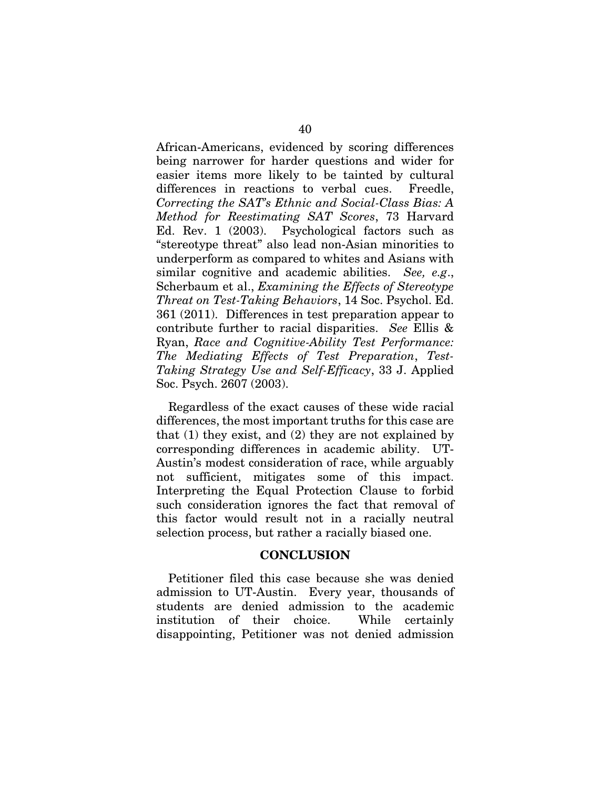African-Americans, evidenced by scoring differences being narrower for harder questions and wider for easier items more likely to be tainted by cultural differences in reactions to verbal cues. Freedle, *Correcting the SAT's Ethnic and Social-Class Bias: A Method for Reestimating SAT Scores*, 73 Harvard Ed. Rev. 1 (2003). Psychological factors such as "stereotype threat" also lead non-Asian minorities to underperform as compared to whites and Asians with similar cognitive and academic abilities. *See, e.g*., Scherbaum et al., *Examining the Effects of Stereotype Threat on Test-Taking Behaviors*, 14 Soc. Psychol. Ed. 361 (2011). Differences in test preparation appear to contribute further to racial disparities. *See* Ellis & Ryan, *Race and Cognitive-Ability Test Performance: The Mediating Effects of Test Preparation*, *Test-Taking Strategy Use and Self-Efficacy*, 33 J. Applied Soc. Psych. 2607 (2003).

Regardless of the exact causes of these wide racial differences, the most important truths for this case are that (1) they exist, and (2) they are not explained by corresponding differences in academic ability. UT-Austin's modest consideration of race, while arguably not sufficient, mitigates some of this impact. Interpreting the Equal Protection Clause to forbid such consideration ignores the fact that removal of this factor would result not in a racially neutral selection process, but rather a racially biased one.

#### **CONCLUSION**

Petitioner filed this case because she was denied admission to UT-Austin. Every year, thousands of students are denied admission to the academic institution of their choice. While certainly disappointing, Petitioner was not denied admission